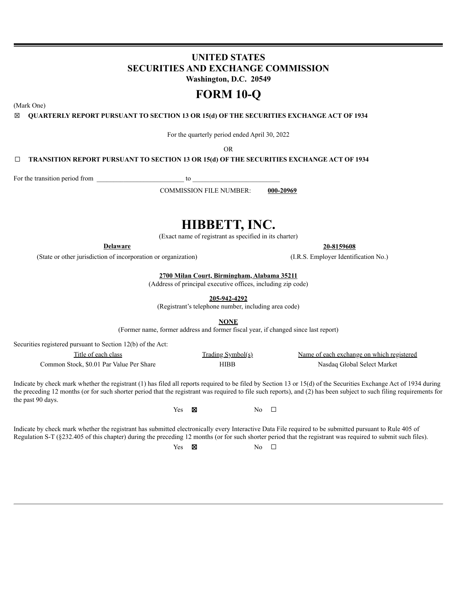# **UNITED STATES SECURITIES AND EXCHANGE COMMISSION Washington, D.C. 20549**

# **FORM 10-Q**

(Mark One)

☒ **QUARTERLY REPORT PURSUANT TO SECTION 13 OR 15(d) OF THE SECURITIES EXCHANGE ACT OF 1934**

For the quarterly period ended April 30, 2022

OR

☐ **TRANSITION REPORT PURSUANT TO SECTION 13 OR 15(d) OF THE SECURITIES EXCHANGE ACT OF 1934**

For the transition period from to  $\sim$ 

COMMISSION FILE NUMBER: **000-20969**

# **HIBBETT, INC.**

(Exact name of registrant as specified in its charter)

(State or other jurisdiction of incorporation or organization) (I.R.S. Employer Identification No.)

**2700 Milan Court, Birmingham, Alabama 35211**

(Address of principal executive offices, including zip code)

**205-942-4292**

(Registrant's telephone number, including area code)

**NONE**

(Former name, former address and former fiscal year, if changed since last report)

Securities registered pursuant to Section 12(b) of the Act:

| Title of each class                      | Trading Symbol(s) | Name of each exchange on which registered |
|------------------------------------------|-------------------|-------------------------------------------|
| Common Stock, \$0.01 Par Value Per Share | <b>HIBB</b>       | Nasdaq Global Select Market               |

Indicate by check mark whether the registrant (1) has filed all reports required to be filed by Section 13 or 15(d) of the Securities Exchange Act of 1934 during the preceding 12 months (or for such shorter period that the registrant was required to file such reports), and (2) has been subject to such filing requirements for the past 90 days.

Yes  $\boxtimes$  No  $\Box$ 

Indicate by check mark whether the registrant has submitted electronically every Interactive Data File required to be submitted pursuant to Rule 405 of Regulation S-T (§232.405 of this chapter) during the preceding 12 months (or for such shorter period that the registrant was required to submit such files).

Yes  $\boxtimes$  No  $\Box$ 

**Delaware 20-8159608**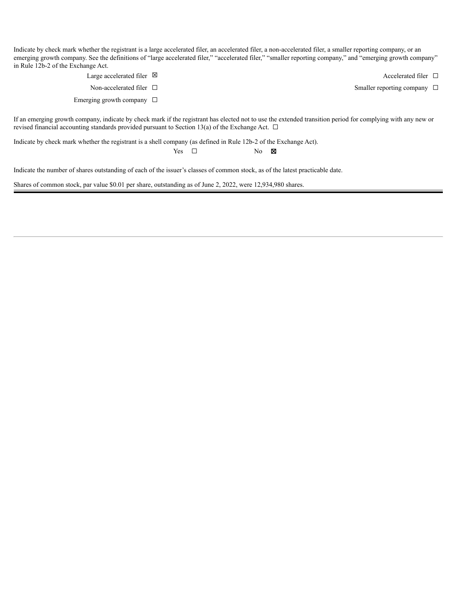Indicate by check mark whether the registrant is a large accelerated filer, an accelerated filer, a non-accelerated filer, a smaller reporting company, or an emerging growth company. See the definitions of "large accelerated filer," "accelerated filer," "smaller reporting company," and "emerging growth company" in Rule 12b-2 of the Exchange Act.

> Large accelerated filer ⊠ accelerated filer □ Emerging growth company  $\Box$

Non-accelerated filer <del>□</del> Smaller reporting company □

If an emerging growth company, indicate by check mark if the registrant has elected not to use the extended transition period for complying with any new or revised financial accounting standards provided pursuant to Section 13(a) of the Exchange Act.  $\Box$ 

Indicate by check mark whether the registrant is a shell company (as defined in Rule 12b-2 of the Exchange Act).

Yes □ No ⊠

Indicate the number of shares outstanding of each of the issuer's classes of common stock, as of the latest practicable date.

<span id="page-1-0"></span>Shares of common stock, par value \$0.01 per share, outstanding as of June 2, 2022, were 12,934,980 shares.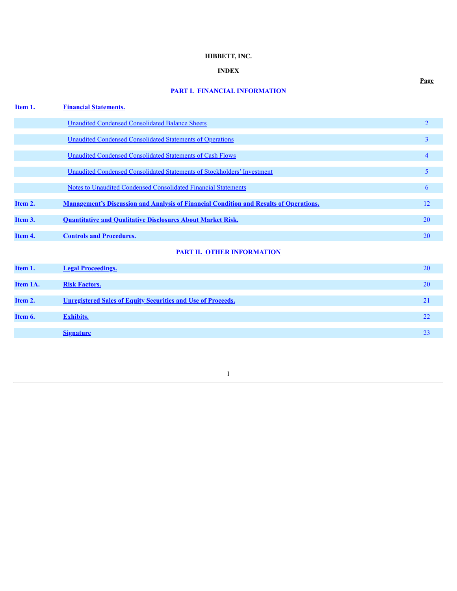# **HIBBETT, INC.**

# **INDEX**

# **PART I. FINANCIAL [INFORMATION](#page-2-0)**

# **[Item](#page-3-0) 1. Financial [Statements.](#page-3-0)**

|         | <b>Unaudited Condensed Consolidated Balance Sheets</b>                                        |    |
|---------|-----------------------------------------------------------------------------------------------|----|
|         |                                                                                               |    |
|         | Unaudited Condensed Consolidated Statements of Operations                                     | 3  |
|         | Unaudited Condensed Consolidated Statements of Cash Flows                                     | 4  |
|         |                                                                                               |    |
|         | Unaudited Condensed Consolidated Statements of Stockholders' Investment                       | 5  |
|         |                                                                                               |    |
|         | Notes to Unaudited Condensed Consolidated Financial Statements                                | 6  |
| Item 2. | <b>Management's Discussion and Analysis of Financial Condition and Results of Operations.</b> | 12 |
|         |                                                                                               |    |
| Item 3. | <b>Quantitative and Qualitative Disclosures About Market Risk.</b>                            | 20 |
|         |                                                                                               |    |
| Item 4. | <b>Controls and Procedures.</b>                                                               | 20 |
|         | <b>BIBET ABILIBET INDABITION</b>                                                              |    |

# **PART II. OTHER [INFORMATION](#page-21-1)**

<span id="page-2-0"></span>

| Item 1.  | <b>Legal Proceedings.</b>                                           | 20        |
|----------|---------------------------------------------------------------------|-----------|
|          |                                                                     |           |
| Item 1A. | <b>Risk Factors.</b>                                                | <b>20</b> |
|          |                                                                     |           |
| Item 2.  | <b>Unregistered Sales of Equity Securities and Use of Proceeds.</b> | 21        |
|          |                                                                     |           |
| Item 6.  | <b>Exhibits.</b>                                                    | 22        |
|          |                                                                     |           |
|          | <b>Signature</b>                                                    | 23        |
|          |                                                                     |           |

**Page**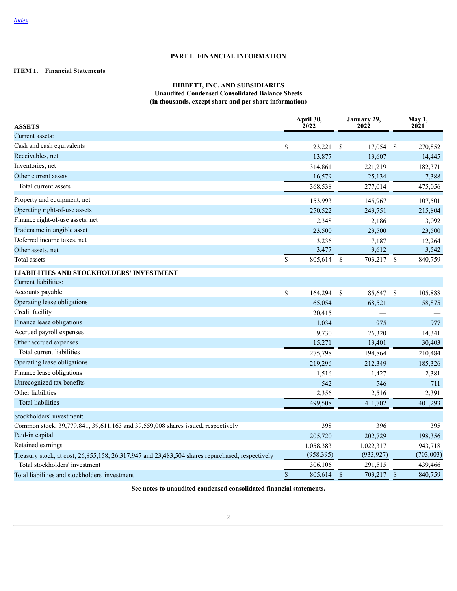# **PART I. FINANCIAL INFORMATION**

# <span id="page-3-1"></span><span id="page-3-0"></span>**ITEM 1. Financial Statements**.

# **HIBBETT, INC. AND SUBSIDIARIES Unaudited Condensed Consolidated Balance Sheets (in thousands, except share and per share information)**

| <b>ASSETS</b>                                                                                   |      | April 30,<br>2022 |              | January 29,<br>2022 |    | May 1,<br>2021 |
|-------------------------------------------------------------------------------------------------|------|-------------------|--------------|---------------------|----|----------------|
| Current assets:                                                                                 |      |                   |              |                     |    |                |
| Cash and cash equivalents                                                                       | \$   | 23,221            | $\mathbb{S}$ | 17,054              | -S | 270,852        |
| Receivables, net                                                                                |      | 13,877            |              | 13,607              |    | 14,445         |
| Inventories, net                                                                                |      | 314,861           |              | 221,219             |    | 182,371        |
| Other current assets                                                                            |      | 16,579            |              | 25,134              |    | 7,388          |
| Total current assets                                                                            |      | 368,538           |              | 277,014             |    | 475,056        |
| Property and equipment, net                                                                     |      | 153,993           |              | 145,967             |    | 107,501        |
| Operating right-of-use assets                                                                   |      | 250,522           |              | 243,751             |    | 215,804        |
| Finance right-of-use assets, net                                                                |      | 2,348             |              | 2,186               |    | 3,092          |
| Tradename intangible asset                                                                      |      | 23,500            |              | 23,500              |    | 23,500         |
| Deferred income taxes, net                                                                      |      | 3,236             |              | 7,187               |    | 12,264         |
| Other assets, net                                                                               |      | 3,477             |              | 3,612               |    | 3,542          |
| <b>Total</b> assets                                                                             | \$   | 805,614           | $\mathbb S$  | 703,217 \$          |    | 840,759        |
| <b>LIABILITIES AND STOCKHOLDERS' INVESTMENT</b>                                                 |      |                   |              |                     |    |                |
| Current liabilities:                                                                            |      |                   |              |                     |    |                |
| Accounts payable                                                                                | \$   | 164,294           | -S           | 85,647              | -S | 105,888        |
| Operating lease obligations                                                                     |      | 65,054            |              | 68,521              |    | 58,875         |
| Credit facility                                                                                 |      | 20,415            |              |                     |    |                |
| Finance lease obligations                                                                       |      | 1,034             |              | 975                 |    | 977            |
| Accrued payroll expenses                                                                        |      | 9,730             |              | 26,320              |    | 14,341         |
| Other accrued expenses                                                                          |      | 15,271            |              | 13,401              |    | 30,403         |
| Total current liabilities                                                                       |      | 275,798           |              | 194,864             |    | 210,484        |
| Operating lease obligations                                                                     |      | 219,296           |              | 212,349             |    | 185,326        |
| Finance lease obligations                                                                       |      | 1,516             |              | 1,427               |    | 2,381          |
| Unrecognized tax benefits                                                                       |      | 542               |              | 546                 |    | 711            |
| Other liabilities                                                                               |      | 2,356             |              | 2,516               |    | 2,391          |
| <b>Total liabilities</b>                                                                        |      | 499,508           |              | 411,702             |    | 401,293        |
| Stockholders' investment:                                                                       |      |                   |              |                     |    |                |
| Common stock, 39,779,841, 39,611,163 and 39,559,008 shares issued, respectively                 |      | 398               |              | 396                 |    | 395            |
| Paid-in capital                                                                                 |      | 205,720           |              | 202,729             |    | 198,356        |
| Retained earnings                                                                               |      | 1,058,383         |              | 1,022,317           |    | 943,718        |
| Treasury stock, at cost; 26,855,158, 26,317,947 and 23,483,504 shares repurchased, respectively |      | (958, 395)        |              | (933, 927)          |    | (703,003)      |
| Total stockholders' investment                                                                  |      | 306,106           |              | 291,515             |    | 439,466        |
| Total liabilities and stockholders' investment                                                  | $\$$ | 805,614           | $\sqrt{\ }$  | 703,217 \$          |    | 840,759        |

<span id="page-3-2"></span>**See notes to unaudited condensed consolidated financial statements.**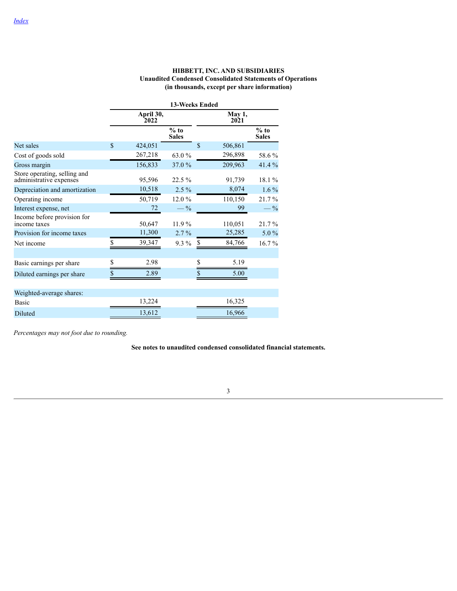## **HIBBETT, INC. AND SUBSIDIARIES Unaudited Condensed Consolidated Statements of Operations (in thousands, except per share information)**

|                                                         | <b>13-Weeks Ended</b> |                   |                        |    |                |                        |  |  |  |
|---------------------------------------------------------|-----------------------|-------------------|------------------------|----|----------------|------------------------|--|--|--|
|                                                         |                       | April 30,<br>2022 |                        |    | May 1,<br>2021 |                        |  |  |  |
|                                                         |                       |                   | $%$ to<br><b>Sales</b> |    |                | $%$ to<br><b>Sales</b> |  |  |  |
| Net sales                                               | $\mathbf{\hat{s}}$    | 424,051           |                        | \$ | 506,861        |                        |  |  |  |
| Cost of goods sold                                      |                       | 267,218           | 63.0%                  |    | 296,898        | 58.6 %                 |  |  |  |
| Gross margin                                            |                       | 156,833           | 37.0%                  |    | 209,963        | 41.4 %                 |  |  |  |
| Store operating, selling and<br>administrative expenses |                       | 95,596            | $22.5\%$               |    | 91,739         | 18.1 %                 |  |  |  |
| Depreciation and amortization                           |                       | 10,518            | $2.5\%$                |    | 8,074          | $1.6\%$                |  |  |  |
| Operating income                                        |                       | 50,719            | 12.0%                  |    | 110,150        | $21.7\%$               |  |  |  |
| Interest expense, net                                   |                       | 72                | $- \frac{9}{6}$        |    | 99             | $- \frac{9}{6}$        |  |  |  |
| Income before provision for<br>income taxes             |                       | 50,647            | 11.9%                  |    | 110,051        | 21.7%                  |  |  |  |
| Provision for income taxes                              |                       | 11,300            | $2.7\%$                |    | 25,285         | $5.0\%$                |  |  |  |
| Net income                                              | \$                    | 39,347            | $9.3\%$                | S  | 84,766         | 16.7%                  |  |  |  |
|                                                         |                       |                   |                        |    |                |                        |  |  |  |
| Basic earnings per share                                | $\mathbf{\hat{S}}$    | 2.98              |                        | \$ | 5.19           |                        |  |  |  |
| Diluted earnings per share                              | $\mathbf{s}$          | 2.89              |                        | \$ | 5.00           |                        |  |  |  |
| Weighted-average shares:                                |                       |                   |                        |    |                |                        |  |  |  |
| <b>Basic</b>                                            |                       | 13,224            |                        |    | 16,325         |                        |  |  |  |
| Diluted                                                 |                       | 13,612            |                        |    | 16,966         |                        |  |  |  |
|                                                         |                       |                   |                        |    |                |                        |  |  |  |

<span id="page-4-0"></span>*Percentages may not foot due to rounding.*

**See notes to unaudited condensed consolidated financial statements.**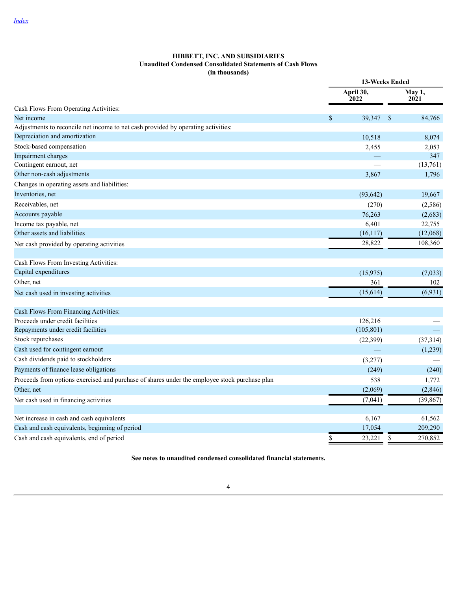# **HIBBETT, INC. AND SUBSIDIARIES Unaudited Condensed Consolidated Statements of Cash Flows (in thousands)**

|                                                                                               | 13-Weeks Ended |                   |               |                |
|-----------------------------------------------------------------------------------------------|----------------|-------------------|---------------|----------------|
|                                                                                               |                | April 30,<br>2022 |               | May 1,<br>2021 |
| Cash Flows From Operating Activities:                                                         |                |                   |               |                |
| Net income                                                                                    | \$             | 39,347            | $\mathcal{S}$ | 84,766         |
| Adjustments to reconcile net income to net cash provided by operating activities:             |                |                   |               |                |
| Depreciation and amortization                                                                 |                | 10,518            |               | 8,074          |
| Stock-based compensation                                                                      |                | 2,455             |               | 2,053          |
| Impairment charges                                                                            |                |                   |               | 347            |
| Contingent earnout, net                                                                       |                |                   |               | (13,761)       |
| Other non-cash adjustments                                                                    |                | 3,867             |               | 1,796          |
| Changes in operating assets and liabilities:                                                  |                |                   |               |                |
| Inventories, net                                                                              |                | (93, 642)         |               | 19,667         |
| Receivables, net                                                                              |                | (270)             |               | (2,586)        |
| Accounts payable                                                                              |                | 76,263            |               | (2,683)        |
| Income tax payable, net                                                                       |                | 6,401             |               | 22,755         |
| Other assets and liabilities                                                                  |                | (16, 117)         |               | (12,068)       |
| Net cash provided by operating activities                                                     |                | 28,822            |               | 108,360        |
| Cash Flows From Investing Activities:                                                         |                |                   |               |                |
| Capital expenditures                                                                          |                | (15, 975)         |               | (7,033)        |
| Other, net                                                                                    |                | 361               |               | 102            |
| Net cash used in investing activities                                                         |                | (15, 614)         |               | (6,931)        |
| Cash Flows From Financing Activities:                                                         |                |                   |               |                |
| Proceeds under credit facilities                                                              |                | 126,216           |               |                |
| Repayments under credit facilities                                                            |                | (105, 801)        |               |                |
| Stock repurchases                                                                             |                | (22, 399)         |               | (37, 314)      |
| Cash used for contingent earnout                                                              |                |                   |               | (1,239)        |
| Cash dividends paid to stockholders                                                           |                | (3,277)           |               |                |
| Payments of finance lease obligations                                                         |                | (249)             |               | (240)          |
| Proceeds from options exercised and purchase of shares under the employee stock purchase plan |                | 538               |               | 1,772          |
| Other, net                                                                                    |                | (2,069)           |               | (2, 846)       |
| Net cash used in financing activities                                                         |                | (7,041)           |               | (39, 867)      |
| Net increase in cash and cash equivalents                                                     |                | 6,167             |               | 61,562         |
| Cash and cash equivalents, beginning of period                                                |                | 17,054            |               | 209,290        |
| Cash and cash equivalents, end of period                                                      | \$             | 23,221            | \$            | 270,852        |

<span id="page-5-0"></span>**See notes to unaudited condensed consolidated financial statements.**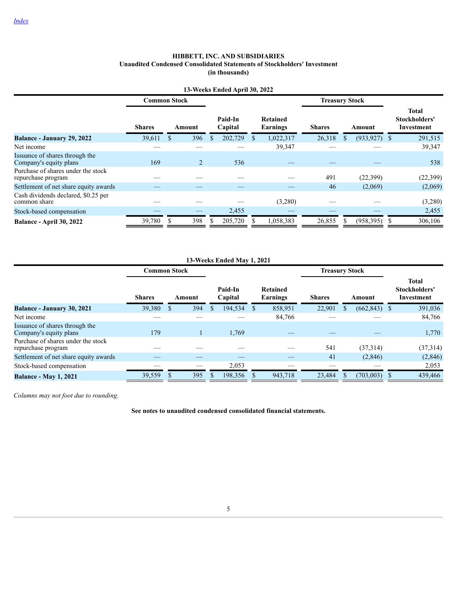# **HIBBETT, INC. AND SUBSIDIARIES Unaudited Condensed Consolidated Statements of Stockholders' Investment (in thousands)**

| 13-Weeks Ended April 30, 2022                            |               |                     |                |                    |    |                             |               |  |            |     |                                             |  |
|----------------------------------------------------------|---------------|---------------------|----------------|--------------------|----|-----------------------------|---------------|--|------------|-----|---------------------------------------------|--|
|                                                          |               | <b>Common Stock</b> |                |                    |    | <b>Treasury Stock</b>       |               |  |            |     |                                             |  |
|                                                          | <b>Shares</b> | Amount              |                | Paid-In<br>Capital |    | <b>Retained</b><br>Earnings | <b>Shares</b> |  | Amount     |     | <b>Total</b><br>Stockholders'<br>Investment |  |
| <b>Balance - January 29, 2022</b>                        | 39,611        | 396<br>S            |                | 202,729            | -S | 1,022,317                   | 26,318        |  | (933, 927) | - S | 291,515                                     |  |
| Net income                                               |               |                     |                |                    |    | 39,347                      |               |  |            |     | 39,347                                      |  |
| Issuance of shares through the<br>Company's equity plans | 169           |                     | $\overline{2}$ | 536                |    |                             |               |  |            |     | 538                                         |  |
| Purchase of shares under the stock<br>repurchase program |               |                     |                |                    |    |                             | 491           |  | (22, 399)  |     | (22, 399)                                   |  |
| Settlement of net share equity awards                    |               |                     |                |                    |    |                             | 46            |  | (2,069)    |     | (2,069)                                     |  |
| Cash dividends declared, \$0.25 per<br>common share      |               |                     |                |                    |    | (3,280)                     |               |  |            |     | (3,280)                                     |  |
| Stock-based compensation                                 |               |                     |                | 2,455              |    |                             |               |  |            |     | 2,455                                       |  |
| Balance - April 30, 2022                                 | 39,780        | 398                 |                | 205,720            |    | 1,058,383                   | 26,855        |  | (958, 395) |     | 306,106                                     |  |

|                                                          |                     |   |        | 13-Weeks Ended May 1, 2021 |              |                      |                       |  |                |  |                                             |
|----------------------------------------------------------|---------------------|---|--------|----------------------------|--------------|----------------------|-----------------------|--|----------------|--|---------------------------------------------|
|                                                          | <b>Common Stock</b> |   |        |                            |              |                      | <b>Treasury Stock</b> |  |                |  |                                             |
|                                                          | <b>Shares</b>       |   | Amount | Paid-In<br>Capital         |              | Retained<br>Earnings | <b>Shares</b>         |  | Amount         |  | <b>Total</b><br>Stockholders'<br>Investment |
| <b>Balance - January 30, 2021</b>                        | 39,380              | S | 394    | 194,534                    | <sup>S</sup> | 858,951              | 22,901                |  | $(662,843)$ \$ |  | 391,036                                     |
| Net income                                               |                     |   |        |                            |              | 84,766               |                       |  |                |  | 84,766                                      |
| Issuance of shares through the<br>Company's equity plans | 179                 |   |        | 1,769                      |              |                      |                       |  |                |  | 1,770                                       |
| Purchase of shares under the stock<br>repurchase program |                     |   |        |                            |              |                      | 541                   |  | (37,314)       |  | (37, 314)                                   |
| Settlement of net share equity awards                    |                     |   |        |                            |              |                      | 41                    |  | (2,846)        |  | (2,846)                                     |
| Stock-based compensation                                 |                     |   |        | 2,053                      |              |                      |                       |  |                |  | 2,053                                       |
| <b>Balance - May 1, 2021</b>                             | 39,559              | ъ | 395    | 198,356                    |              | 943,718              | 23,484                |  | (703,003)      |  | 439,466                                     |

<span id="page-6-0"></span>*Columns may not foot due to rounding.*

**See notes to unaudited condensed consolidated financial statements.**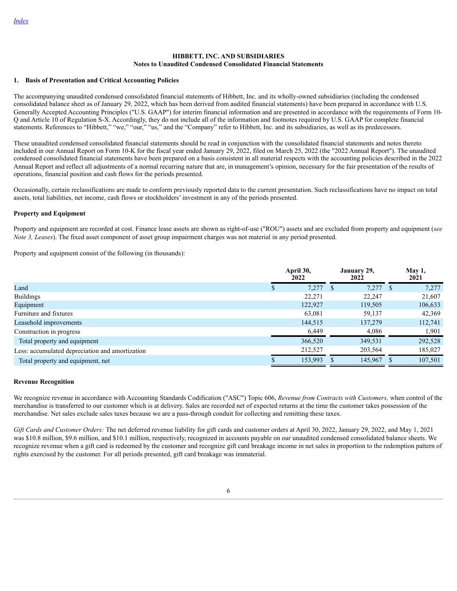# **HIBBETT, INC. AND SUBSIDIARIES Notes to Unaudited Condensed Consolidated Financial Statements**

#### **1. Basis of Presentation and Critical Accounting Policies**

The accompanying unaudited condensed consolidated financial statements of Hibbett, Inc. and its wholly-owned subsidiaries (including the condensed consolidated balance sheet as of January 29, 2022, which has been derived from audited financial statements) have been prepared in accordance with U.S. Generally Accepted Accounting Principles ("U.S. GAAP") for interim financial information and are presented in accordance with the requirements of Form 10- Q and Article 10 of Regulation S-X. Accordingly, they do not include all of the information and footnotes required by U.S. GAAP for complete financial statements. References to "Hibbett," "we," "our," "us," and the "Company" refer to Hibbett, Inc. and its subsidiaries, as well as its predecessors.

These unaudited condensed consolidated financial statements should be read in conjunction with the consolidated financial statements and notes thereto included in our Annual Report on Form 10-K for the fiscal year ended January 29, 2022, filed on March 25, 2022 (the "2022 Annual Report"). The unaudited condensed consolidated financial statements have been prepared on a basis consistent in all material respects with the accounting policies described in the 2022 Annual Report and reflect all adjustments of a normal recurring nature that are, in management's opinion, necessary for the fair presentation of the results of operations, financial position and cash flows for the periods presented.

Occasionally, certain reclassifications are made to conform previously reported data to the current presentation. Such reclassifications have no impact on total assets, total liabilities, net income, cash flows or stockholders' investment in any of the periods presented.

## **Property and Equipment**

Property and equipment are recorded at cost. Finance lease assets are shown as right-of-use ("ROU") assets and are excluded from property and equipment (*see Note 3, Leases*). The fixed asset component of asset group impairment charges was not material in any period presented.

Property and equipment consist of the following (in thousands):

|                                                 |   | April 30,<br>2022 |    | January 29,<br>2022 | May 1,<br>2021 |
|-------------------------------------------------|---|-------------------|----|---------------------|----------------|
| Land                                            | D | 7,277             | -S | $7,277$ \$          | 7,277          |
| <b>Buildings</b>                                |   | 22,271            |    | 22,247              | 21,607         |
| Equipment                                       |   | 122,927           |    | 119,505             | 106,633        |
| Furniture and fixtures                          |   | 63,081            |    | 59,137              | 42,369         |
| Leasehold improvements                          |   | 144,515           |    | 137,279             | 112,741        |
| Construction in progress                        |   | 6,449             |    | 4,086               | 1,901          |
| Total property and equipment                    |   | 366,520           |    | 349,531             | 292,528        |
| Less: accumulated depreciation and amortization |   | 212,527           |    | 203,564             | 185,027        |
| Total property and equipment, net               |   | 153,993           |    | 145,967             | 107,501        |

#### **Revenue Recognition**

We recognize revenue in accordance with Accounting Standards Codification ("ASC") Topic 606, *Revenue from Contracts with Customers,* when control of the merchandise is transferred to our customer which is at delivery. Sales are recorded net of expected returns at the time the customer takes possession of the merchandise. Net sales exclude sales taxes because we are a pass-through conduit for collecting and remitting these taxes.

*Gift Cards and Customer Orders:* The net deferred revenue liability for gift cards and customer orders at April 30, 2022, January 29, 2022, and May 1, 2021 was \$10.8 million, \$9.6 million, and \$10.1 million, respectively, recognized in accounts payable on our unaudited condensed consolidated balance sheets. We recognize revenue when a gift card is redeemed by the customer and recognize gift card breakage income in net sales in proportion to the redemption pattern of rights exercised by the customer. For all periods presented, gift card breakage was immaterial.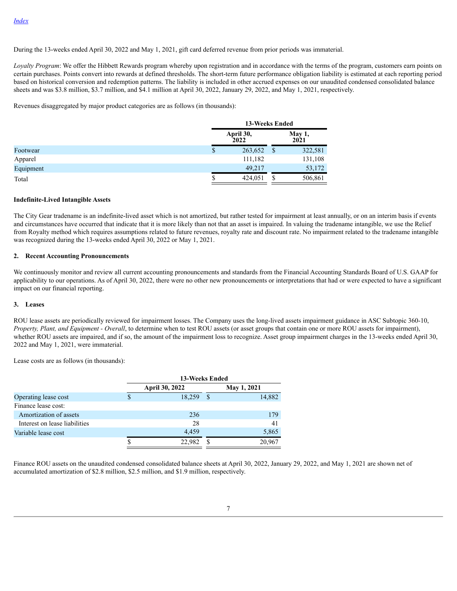During the 13-weeks ended April 30, 2022 and May 1, 2021, gift card deferred revenue from prior periods was immaterial.

*Loyalty Program*: We offer the Hibbett Rewards program whereby upon registration and in accordance with the terms of the program, customers earn points on certain purchases. Points convert into rewards at defined thresholds. The short-term future performance obligation liability is estimated at each reporting period based on historical conversion and redemption patterns. The liability is included in other accrued expenses on our unaudited condensed consolidated balance sheets and was \$3.8 million, \$3.7 million, and \$4.1 million at April 30, 2022, January 29, 2022, and May 1, 2021, respectively.

Revenues disaggregated by major product categories are as follows (in thousands):

|           |    | 13-Weeks Ended    |                    |                |  |  |  |
|-----------|----|-------------------|--------------------|----------------|--|--|--|
|           |    | April 30,<br>2022 |                    | May 1,<br>2021 |  |  |  |
| Footwear  | \$ | 263,652           | $\mathbf{\hat{S}}$ | 322,581        |  |  |  |
| Apparel   |    | 111,182           |                    | 131,108        |  |  |  |
| Equipment |    | 49.217            |                    | 53,172         |  |  |  |
| Total     | ۰D | 424,051           | \$                 | 506,861        |  |  |  |

#### **Indefinite-Lived Intangible Assets**

The City Gear tradename is an indefinite-lived asset which is not amortized, but rather tested for impairment at least annually, or on an interim basis if events and circumstances have occurred that indicate that it is more likely than not that an asset is impaired. In valuing the tradename intangible, we use the Relief from Royalty method which requires assumptions related to future revenues, royalty rate and discount rate. No impairment related to the tradename intangible was recognized during the 13-weeks ended April 30, 2022 or May 1, 2021.

#### **2. Recent Accounting Pronouncements**

We continuously monitor and review all current accounting pronouncements and standards from the Financial Accounting Standards Board of U.S. GAAP for applicability to our operations. As of April 30, 2022, there were no other new pronouncements or interpretations that had or were expected to have a significant impact on our financial reporting.

#### **3. Leases**

ROU lease assets are periodically reviewed for impairment losses. The Company uses the long-lived assets impairment guidance in ASC Subtopic 360-10, *Property, Plant, and Equipment - Overall*, to determine when to test ROU assets (or asset groups that contain one or more ROU assets for impairment), whether ROU assets are impaired, and if so, the amount of the impairment loss to recognize. Asset group impairment charges in the 13-weeks ended April 30, 2022 and May 1, 2021, were immaterial.

Lease costs are as follows (in thousands):

|                               |    | 13-Weeks Ended        |    |             |
|-------------------------------|----|-----------------------|----|-------------|
|                               |    | <b>April 30, 2022</b> |    | May 1, 2021 |
| Operating lease cost          | \$ | 18,259                | -S | 14,882      |
| Finance lease cost:           |    |                       |    |             |
| Amortization of assets        |    | 236                   |    | 179         |
| Interest on lease liabilities |    | 28                    |    | 41          |
| Variable lease cost           |    | 4,459                 |    | 5,865       |
|                               | S  | 22,982                |    | 20,967      |

Finance ROU assets on the unaudited condensed consolidated balance sheets at April 30, 2022, January 29, 2022, and May 1, 2021 are shown net of accumulated amortization of \$2.8 million, \$2.5 million, and \$1.9 million, respectively.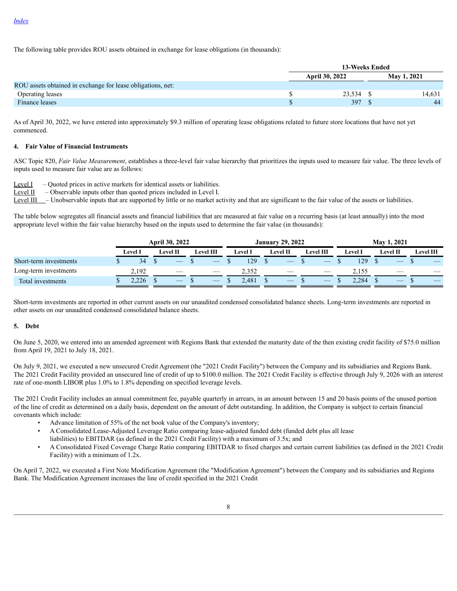The following table provides ROU assets obtained in exchange for lease obligations (in thousands):

|                                                             | 13-Weeks Ended        |  |             |  |  |  |  |
|-------------------------------------------------------------|-----------------------|--|-------------|--|--|--|--|
|                                                             | <b>April 30, 2022</b> |  | May 1, 2021 |  |  |  |  |
| ROU assets obtained in exchange for lease obligations, net: |                       |  |             |  |  |  |  |
| Operating leases                                            | 23.534                |  | 14.631      |  |  |  |  |
| Finance leases                                              | 397                   |  | 44          |  |  |  |  |

As of April 30, 2022, we have entered into approximately \$9.3 million of operating lease obligations related to future store locations that have not yet commenced.

## **4. Fair Value of Financial Instruments**

ASC Topic 820, *Fair Value Measurement*, establishes a three-level fair value hierarchy that prioritizes the inputs used to measure fair value. The three levels of inputs used to measure fair value are as follows:

Level I – Quoted prices in active markets for identical assets or liabilities.

Level II – Observable inputs other than quoted prices included in Level I.

Level III - Unobservable inputs that are supported by little or no market activity and that are significant to the fair value of the assets or liabilities.

The table below segregates all financial assets and financial liabilities that are measured at fair value on a recurring basis (at least annually) into the most appropriate level within the fair value hierarchy based on the inputs used to determine the fair value (in thousands):

|                        | <b>April 30, 2022</b> |                |  |                 | <b>January 29, 2022</b> |  |                |  | May 1, 2021     |                  |  |                |  |                 |  |                  |
|------------------------|-----------------------|----------------|--|-----------------|-------------------------|--|----------------|--|-----------------|------------------|--|----------------|--|-----------------|--|------------------|
|                        |                       | <b>Level J</b> |  | <b>Level II</b> | <b>Level III</b>        |  | <b>Level 1</b> |  | <b>Level II</b> | <b>Level III</b> |  | <b>Level</b> 1 |  | <b>Level II</b> |  | <b>Level III</b> |
| Short-term investments |                       | 34             |  |                 |                         |  | 129            |  |                 | $-$              |  | 129            |  |                 |  |                  |
| Long-term investments  |                       | 2,192          |  |                 |                         |  | 2.352          |  |                 |                  |  | 2,155          |  |                 |  |                  |
| Total investments      |                       | 2.226          |  | _               | _                       |  | 2.481          |  |                 | _                |  | 2.284          |  | _               |  |                  |

Short-term investments are reported in other current assets on our unaudited condensed consolidated balance sheets. Long-term investments are reported in other assets on our unaudited condensed consolidated balance sheets.

#### **5. Debt**

On June 5, 2020, we entered into an amended agreement with Regions Bank that extended the maturity date of the then existing credit facility of \$75.0 million from April 19, 2021 to July 18, 2021.

On July 9, 2021, we executed a new unsecured Credit Agreement (the "2021 Credit Facility") between the Company and its subsidiaries and Regions Bank. The 2021 Credit Facility provided an unsecured line of credit of up to \$100.0 million. The 2021 Credit Facility is effective through July 9, 2026 with an interest rate of one-month LIBOR plus 1.0% to 1.8% depending on specified leverage levels.

The 2021 Credit Facility includes an annual commitment fee, payable quarterly in arrears, in an amount between 15 and 20 basis points of the unused portion of the line of credit as determined on a daily basis, dependent on the amount of debt outstanding. In addition, the Company is subject to certain financial covenants which include:

- Advance limitation of 55% of the net book value of the Company's inventory;
- A Consolidated Lease-Adjusted Leverage Ratio comparing lease-adjusted funded debt (funded debt plus all lease liabilities) to EBITDAR (as defined in the 2021 Credit Facility) with a maximum of 3.5x; and
- A Consolidated Fixed Coverage Charge Ratio comparing EBITDAR to fixed charges and certain current liabilities (as defined in the 2021 Credit Facility) with a minimum of 1.2x.

On April 7, 2022, we executed a First Note Modification Agreement (the "Modification Agreement") between the Company and its subsidiaries and Regions Bank. The Modification Agreement increases the line of credit specified in the 2021 Credit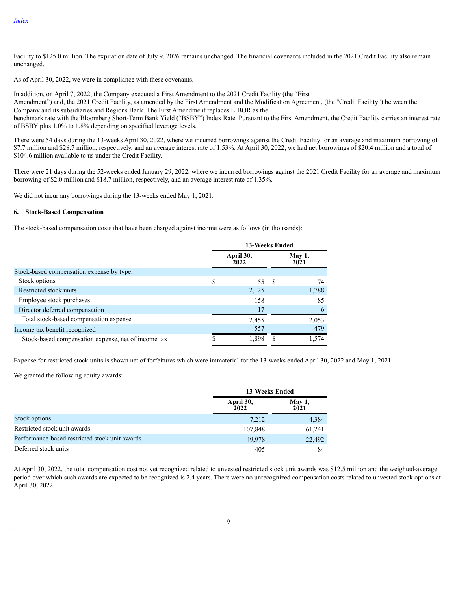Facility to \$125.0 million. The expiration date of July 9, 2026 remains unchanged. The financial covenants included in the 2021 Credit Facility also remain unchanged.

As of April 30, 2022, we were in compliance with these covenants.

In addition, on April 7, 2022, the Company executed a First Amendment to the 2021 Credit Facility (the "First Amendment") and, the 2021 Credit Facility, as amended by the First Amendment and the Modification Agreement, (the "Credit Facility") between the Company and its subsidiaries and Regions Bank. The First Amendment replaces LIBOR as the benchmark rate with the Bloomberg Short-Term Bank Yield ("BSBY") Index Rate. Pursuant to the First Amendment, the Credit Facility carries an interest rate of BSBY plus 1.0% to 1.8% depending on specified leverage levels.

There were 54 days during the 13-weeks April 30, 2022, where we incurred borrowings against the Credit Facility for an average and maximum borrowing of \$7.7 million and \$28.7 million, respectively, and an average interest rate of 1.53%. At April 30, 2022, we had net borrowings of \$20.4 million and a total of \$104.6 million available to us under the Credit Facility.

There were 21 days during the 52-weeks ended January 29, 2022, where we incurred borrowings against the 2021 Credit Facility for an average and maximum borrowing of \$2.0 million and \$18.7 million, respectively, and an average interest rate of 1.35%.

We did not incur any borrowings during the 13-weeks ended May 1, 2021.

#### **6. Stock-Based Compensation**

The stock-based compensation costs that have been charged against income were as follows (in thousands):

|                                                     | <b>13-Weeks Ended</b> |       |    |                |  |  |
|-----------------------------------------------------|-----------------------|-------|----|----------------|--|--|
|                                                     | April 30,<br>2022     |       |    | May 1,<br>2021 |  |  |
| Stock-based compensation expense by type:           |                       |       |    |                |  |  |
| Stock options                                       | \$                    | 155   | -8 | 174            |  |  |
| Restricted stock units                              |                       | 2,125 |    | 1,788          |  |  |
| Employee stock purchases                            |                       | 158   |    | 85             |  |  |
| Director deferred compensation                      |                       | 17    |    | 6              |  |  |
| Total stock-based compensation expense              |                       | 2,455 |    | 2,053          |  |  |
| Income tax benefit recognized                       |                       | 557   |    | 479            |  |  |
| Stock-based compensation expense, net of income tax |                       | 1,898 |    | 1,574          |  |  |

Expense for restricted stock units is shown net of forfeitures which were immaterial for the 13-weeks ended April 30, 2022 and May 1, 2021.

We granted the following equity awards:

|                                                | 13-Weeks Ended    |                |
|------------------------------------------------|-------------------|----------------|
|                                                | April 30,<br>2022 | May 1,<br>2021 |
| Stock options                                  | 7,212             | 4,384          |
| Restricted stock unit awards                   | 107,848           | 61,241         |
| Performance-based restricted stock unit awards | 49.978            | 22,492         |
| Deferred stock units                           | 405               | 84             |

At April 30, 2022, the total compensation cost not yet recognized related to unvested restricted stock unit awards was \$12.5 million and the weighted-average period over which such awards are expected to be recognized is 2.4 years. There were no unrecognized compensation costs related to unvested stock options at April 30, 2022.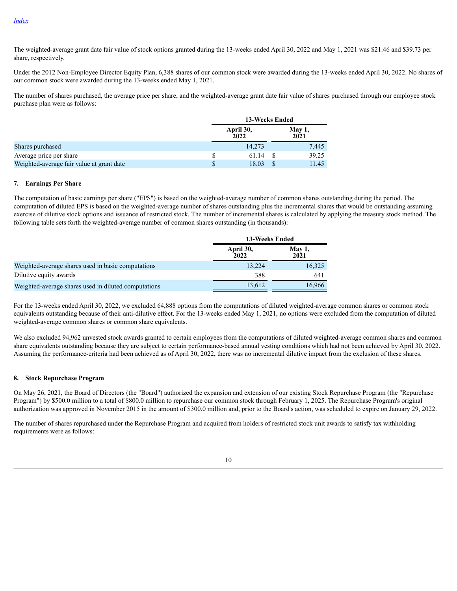The weighted-average grant date fair value of stock options granted during the 13-weeks ended April 30, 2022 and May 1, 2021 was \$21.46 and \$39.73 per share, respectively.

Under the 2012 Non-Employee Director Equity Plan, 6,388 shares of our common stock were awarded during the 13-weeks ended April 30, 2022. No shares of our common stock were awarded during the 13-weeks ended May 1, 2021.

The number of shares purchased, the average price per share, and the weighted-average grant date fair value of shares purchased through our employee stock purchase plan were as follows:

|                                           | 13-Weeks Ended    |                |
|-------------------------------------------|-------------------|----------------|
|                                           | April 30,<br>2022 | May 1,<br>2021 |
| Shares purchased                          | 14,273            | 7,445          |
| Average price per share                   | 61.14             | 39.25          |
| Weighted-average fair value at grant date | 18.03             | 11.45          |

## **7. Earnings Per Share**

The computation of basic earnings per share ("EPS") is based on the weighted-average number of common shares outstanding during the period. The computation of diluted EPS is based on the weighted-average number of shares outstanding plus the incremental shares that would be outstanding assuming exercise of dilutive stock options and issuance of restricted stock. The number of incremental shares is calculated by applying the treasury stock method. The following table sets forth the weighted-average number of common shares outstanding (in thousands):

|                                                      | 13-Weeks Ended    |                |
|------------------------------------------------------|-------------------|----------------|
|                                                      | April 30,<br>2022 | May 1,<br>2021 |
| Weighted-average shares used in basic computations   | 13.224            | 16,325         |
| Dilutive equity awards                               | 388               | 641            |
| Weighted-average shares used in diluted computations | 13.612            | 16,966         |

For the 13-weeks ended April 30, 2022, we excluded 64,888 options from the computations of diluted weighted-average common shares or common stock equivalents outstanding because of their anti-dilutive effect. For the 13-weeks ended May 1, 2021, no options were excluded from the computation of diluted weighted-average common shares or common share equivalents.

We also excluded 94,962 unvested stock awards granted to certain employees from the computations of diluted weighted-average common shares and common share equivalents outstanding because they are subject to certain performance-based annual vesting conditions which had not been achieved by April 30, 2022. Assuming the performance-criteria had been achieved as of April 30, 2022, there was no incremental dilutive impact from the exclusion of these shares.

#### **8. Stock Repurchase Program**

On May 26, 2021, the Board of Directors (the "Board") authorized the expansion and extension of our existing Stock Repurchase Program (the "Repurchase Program") by \$500.0 million to a total of \$800.0 million to repurchase our common stock through February 1, 2025. The Repurchase Program's original authorization was approved in November 2015 in the amount of \$300.0 million and, prior to the Board's action, was scheduled to expire on January 29, 2022.

The number of shares repurchased under the Repurchase Program and acquired from holders of restricted stock unit awards to satisfy tax withholding requirements were as follows: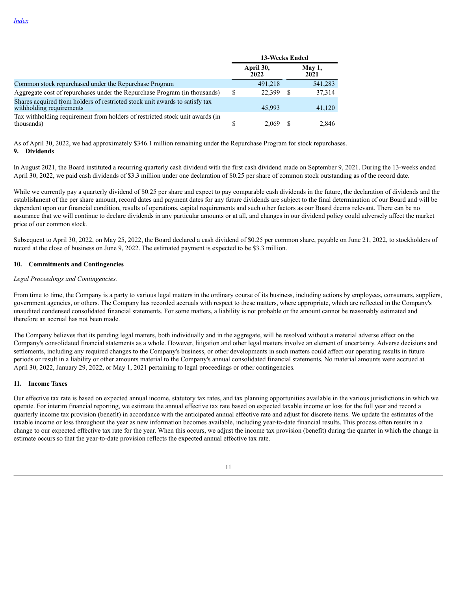|                                                                                                         |   | 13-Weeks Ended    |     |                |  |
|---------------------------------------------------------------------------------------------------------|---|-------------------|-----|----------------|--|
|                                                                                                         |   | April 30,<br>2022 |     | May 1,<br>2021 |  |
| Common stock repurchased under the Repurchase Program                                                   |   | 491.218           |     | 541,283        |  |
| Aggregate cost of repurchases under the Repurchase Program (in thousands)                               | S | 22.399            | \$. | 37.314         |  |
| Shares acquired from holders of restricted stock unit awards to satisfy tax<br>withholding requirements |   | 45.993            |     | 41,120         |  |
| Tax withholding requirement from holders of restricted stock unit awards (in<br>thousands)              |   | 2.069             |     | 2,846          |  |

As of April 30, 2022, we had approximately \$346.1 million remaining under the Repurchase Program for stock repurchases. **9. Dividends**

In August 2021, the Board instituted a recurring quarterly cash dividend with the first cash dividend made on September 9, 2021. During the 13-weeks ended April 30, 2022, we paid cash dividends of \$3.3 million under one declaration of \$0.25 per share of common stock outstanding as of the record date.

While we currently pay a quarterly dividend of \$0.25 per share and expect to pay comparable cash dividends in the future, the declaration of dividends and the establishment of the per share amount, record dates and payment dates for any future dividends are subject to the final determination of our Board and will be dependent upon our financial condition, results of operations, capital requirements and such other factors as our Board deems relevant. There can be no assurance that we will continue to declare dividends in any particular amounts or at all, and changes in our dividend policy could adversely affect the market price of our common stock.

Subsequent to April 30, 2022, on May 25, 2022, the Board declared a cash dividend of \$0.25 per common share, payable on June 21, 2022, to stockholders of record at the close of business on June 9, 2022. The estimated payment is expected to be \$3.3 million.

# **10. Commitments and Contingencies**

# *Legal Proceedings and Contingencies.*

From time to time, the Company is a party to various legal matters in the ordinary course of its business, including actions by employees, consumers, suppliers, government agencies, or others. The Company has recorded accruals with respect to these matters, where appropriate, which are reflected in the Company's unaudited condensed consolidated financial statements. For some matters, a liability is not probable or the amount cannot be reasonably estimated and therefore an accrual has not been made.

The Company believes that its pending legal matters, both individually and in the aggregate, will be resolved without a material adverse effect on the Company's consolidated financial statements as a whole. However, litigation and other legal matters involve an element of uncertainty. Adverse decisions and settlements, including any required changes to the Company's business, or other developments in such matters could affect our operating results in future periods or result in a liability or other amounts material to the Company's annual consolidated financial statements. No material amounts were accrued at April 30, 2022, January 29, 2022, or May 1, 2021 pertaining to legal proceedings or other contingencies.

# **11. Income Taxes**

Our effective tax rate is based on expected annual income, statutory tax rates, and tax planning opportunities available in the various jurisdictions in which we operate. For interim financial reporting, we estimate the annual effective tax rate based on expected taxable income or loss for the full year and record a quarterly income tax provision (benefit) in accordance with the anticipated annual effective rate and adjust for discrete items. We update the estimates of the taxable income or loss throughout the year as new information becomes available, including year-to-date financial results. This process often results in a change to our expected effective tax rate for the year. When this occurs, we adjust the income tax provision (benefit) during the quarter in which the change in estimate occurs so that the year-to-date provision reflects the expected annual effective tax rate.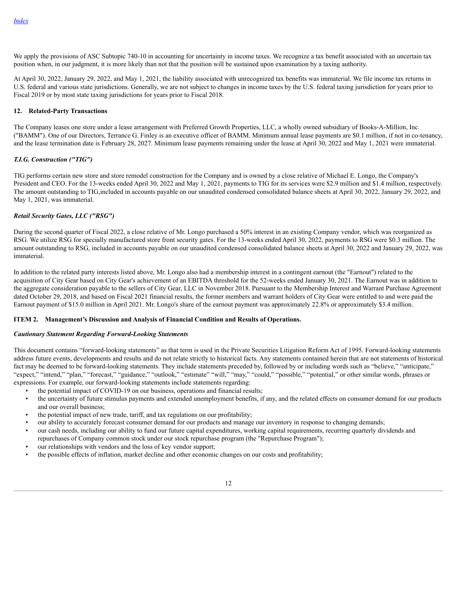We apply the provisions of ASC Subtopic 740-10 in accounting for uncertainty in income taxes. We recognize a tax benefit associated with an uncertain tax position when, in our judgment, it is more likely than not that the position will be sustained upon examination by a taxing authority.

At April 30, 2022, January 29, 2022, and May 1, 2021, the liability associated with unrecognized tax benefits was immaterial. We file income tax returns in U.S. federal and various state jurisdictions. Generally, we are not subject to changes in income taxes by the U.S. federal taxing jurisdiction for years prior to Fiscal 2019 or by most state taxing jurisdictions for years prior to Fiscal 2018.

# **12. Related-Party Transactions**

The Company leases one store under a lease arrangement with Preferred Growth Properties, LLC, a wholly owned subsidiary of Books-A-Million, Inc. ("BAMM"). One of our Directors, Terrance G. Finley is an executive officer of BAMM. Minimum annual lease payments are \$0.1 million, if not in co-tenancy, and the lease termination date is February 28, 2027. Minimum lease payments remaining under the lease at April 30, 2022 and May 1, 2021 were immaterial.

## *T.I.G. Construction ("TIG")*

TIG performs certain new store and store remodel construction for the Company and is owned by a close relative of Michael E. Longo, the Company's President and CEO. For the 13-weeks ended April 30, 2022 and May 1, 2021, payments to TIG for its services were \$2.9 million and \$1.4 million, respectively. The amount outstanding to TIG,included in accounts payable on our unaudited condensed consolidated balance sheets at April 30, 2022, January 29, 2022, and May 1, 2021, was immaterial.

## *Retail Security Gates, LLC ("RSG")*

During the second quarter of Fiscal 2022, a close relative of Mr. Longo purchased a 50% interest in an existing Company vendor, which was reorganized as RSG. We utilize RSG for specially manufactured store front security gates. For the 13-weeks ended April 30, 2022, payments to RSG were \$0.3 million. The amount outstanding to RSG, included in accounts payable on our unaudited condensed consolidated balance sheets at April 30, 2022 and January 29, 2022, was immaterial.

In addition to the related party interests listed above, Mr. Longo also had a membership interest in a contingent earnout (the "Earnout") related to the acquisition of City Gear based on City Gear's achievement of an EBITDA threshold for the 52-weeks ended January 30, 2021. The Earnout was in addition to the aggregate consideration payable to the sellers of City Gear, LLC in November 2018. Pursuant to the Membership Interest and Warrant Purchase Agreement dated October 29, 2018, and based on Fiscal 2021 financial results, the former members and warrant holders of City Gear were entitled to and were paid the Earnout payment of \$15.0 million in April 2021. Mr. Longo's share of the earnout payment was approximately 22.8% or approximately \$3.4 million.

## <span id="page-13-0"></span>**ITEM 2. Management's Discussion and Analysis of Financial Condition and Results of Operations.**

#### *Cautionary Statement Regarding Forward-Looking Statements*

This document contains "forward-looking statements" as that term is used in the Private Securities Litigation Reform Act of 1995. Forward-looking statements address future events, developments and results and do not relate strictly to historical facts. Any statements contained herein that are not statements of historical fact may be deemed to be forward-looking statements. They include statements preceded by, followed by or including words such as "believe," "anticipate," "expect," "intend," "plan," "forecast," "guidance," "outlook," "estimate" "will," "may," "could," "possible," "potential," or other similar words, phrases or expressions. For example, our forward-looking statements include statements regarding:

- the potential impact of COVID-19 on our business, operations and financial results;
- the uncertainty of future stimulus payments and extended unemployment benefits, if any, and the related effects on consumer demand for our products and our overall business;
- the potential impact of new trade, tariff, and tax regulations on our profitability;
- our ability to accurately forecast consumer demand for our products and manage our inventory in response to changing demands;
- our cash needs, including our ability to fund our future capital expenditures, working capital requirements, recurring quarterly dividends and repurchases of Company common stock under our stock repurchase program (the "Repurchase Program");
- our relationships with vendors and the loss of key vendor support;
- the possible effects of inflation, market decline and other economic changes on our costs and profitability;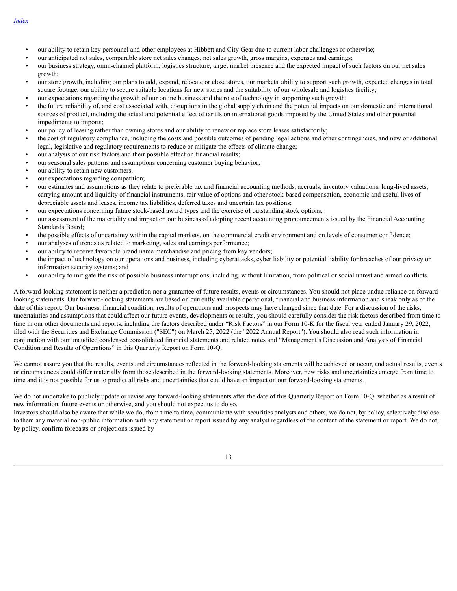- our ability to retain key personnel and other employees at Hibbett and City Gear due to current labor challenges or otherwise;
- our anticipated net sales, comparable store net sales changes, net sales growth, gross margins, expenses and earnings;
- our business strategy, omni-channel platform, logistics structure, target market presence and the expected impact of such factors on our net sales growth;
- our store growth, including our plans to add, expand, relocate or close stores, our markets' ability to support such growth, expected changes in total square footage, our ability to secure suitable locations for new stores and the suitability of our wholesale and logistics facility;
- our expectations regarding the growth of our online business and the role of technology in supporting such growth;
- the future reliability of, and cost associated with, disruptions in the global supply chain and the potential impacts on our domestic and international sources of product, including the actual and potential effect of tariffs on international goods imposed by the United States and other potential impediments to imports;
- our policy of leasing rather than owning stores and our ability to renew or replace store leases satisfactorily;
- the cost of regulatory compliance, including the costs and possible outcomes of pending legal actions and other contingencies, and new or additional legal, legislative and regulatory requirements to reduce or mitigate the effects of climate change;
- our analysis of our risk factors and their possible effect on financial results;
- our seasonal sales patterns and assumptions concerning customer buying behavior;
- our ability to retain new customers;
- our expectations regarding competition;
- our estimates and assumptions as they relate to preferable tax and financial accounting methods, accruals, inventory valuations, long-lived assets, carrying amount and liquidity of financial instruments, fair value of options and other stock-based compensation, economic and useful lives of depreciable assets and leases, income tax liabilities, deferred taxes and uncertain tax positions;
- our expectations concerning future stock-based award types and the exercise of outstanding stock options;
- our assessment of the materiality and impact on our business of adopting recent accounting pronouncements issued by the Financial Accounting Standards Board;
- the possible effects of uncertainty within the capital markets, on the commercial credit environment and on levels of consumer confidence;
- our analyses of trends as related to marketing, sales and earnings performance;
- our ability to receive favorable brand name merchandise and pricing from key vendors;
- the impact of technology on our operations and business, including cyberattacks, cyber liability or potential liability for breaches of our privacy or information security systems; and
- our ability to mitigate the risk of possible business interruptions, including, without limitation, from political or social unrest and armed conflicts.

A forward-looking statement is neither a prediction nor a guarantee of future results, events or circumstances. You should not place undue reliance on forwardlooking statements. Our forward-looking statements are based on currently available operational, financial and business information and speak only as of the date of this report. Our business, financial condition, results of operations and prospects may have changed since that date. For a discussion of the risks, uncertainties and assumptions that could affect our future events, developments or results, you should carefully consider the risk factors described from time to time in our other documents and reports, including the factors described under "Risk Factors" in our Form 10-K for the fiscal year ended January 29, 2022, filed with the Securities and Exchange Commission ("SEC") on March 25, 2022 (the "2022 Annual Report"). You should also read such information in conjunction with our unaudited condensed consolidated financial statements and related notes and "Management's Discussion and Analysis of Financial Condition and Results of Operations" in this Quarterly Report on Form 10-Q.

We cannot assure you that the results, events and circumstances reflected in the forward-looking statements will be achieved or occur, and actual results, events or circumstances could differ materially from those described in the forward-looking statements. Moreover, new risks and uncertainties emerge from time to time and it is not possible for us to predict all risks and uncertainties that could have an impact on our forward-looking statements.

We do not undertake to publicly update or revise any forward-looking statements after the date of this Quarterly Report on Form 10-Q, whether as a result of new information, future events or otherwise, and you should not expect us to do so.

Investors should also be aware that while we do, from time to time, communicate with securities analysts and others, we do not, by policy, selectively disclose to them any material non-public information with any statement or report issued by any analyst regardless of the content of the statement or report. We do not, by policy, confirm forecasts or projections issued by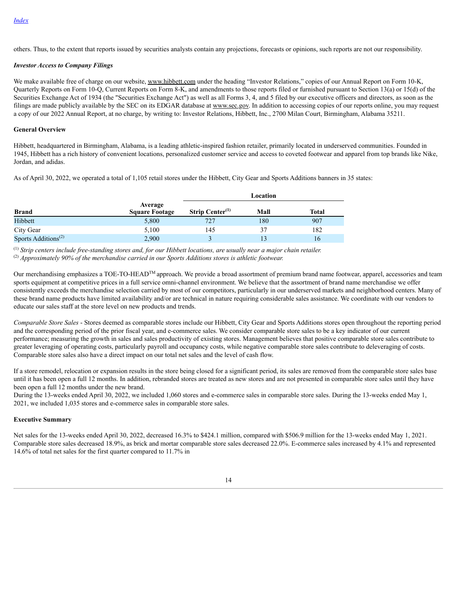others. Thus, to the extent that reports issued by securities analysts contain any projections, forecasts or opinions, such reports are not our responsibility.

## *Investor Access to Company Filings*

We make available free of charge on our website, www.hibbett.com under the heading "Investor Relations," copies of our Annual Report on Form 10-K, Quarterly Reports on Form 10-Q, Current Reports on Form 8-K, and amendments to those reports filed or furnished pursuant to Section 13(a) or 15(d) of the Securities Exchange Act of 1934 (the "Securities Exchange Act") as well as all Forms 3, 4, and 5 filed by our executive officers and directors, as soon as the filings are made publicly available by the SEC on its EDGAR database at www.sec.gov. In addition to accessing copies of our reports online, you may request a copy of our 2022 Annual Report, at no charge, by writing to: Investor Relations, Hibbett, Inc., 2700 Milan Court, Birmingham, Alabama 35211.

#### **General Overview**

Hibbett, headquartered in Birmingham, Alabama, is a leading athletic-inspired fashion retailer, primarily located in underserved communities. Founded in 1945, Hibbett has a rich history of convenient locations, personalized customer service and access to coveted footwear and apparel from top brands like Nike, Jordan, and adidas.

As of April 30, 2022, we operated a total of 1,105 retail stores under the Hibbett, City Gear and Sports Additions banners in 35 states:

|                                 |                                  | Location                    |      |       |  |  |  |
|---------------------------------|----------------------------------|-----------------------------|------|-------|--|--|--|
| <b>Brand</b>                    | Average<br><b>Square Footage</b> | Strip Center <sup>(1)</sup> | Mall | Total |  |  |  |
| Hibbett                         | 5,800                            | 727                         | 180  | 907   |  |  |  |
| City Gear                       | 5,100                            | 145                         | 37   | 182   |  |  |  |
| Sports Additions <sup>(2)</sup> | 2,900                            |                             | 13   | 16    |  |  |  |

<sup>(1)</sup> Strip centers include free-standing stores and, for our Hibbett locations, are usually near a major chain retailer.

*Approximately 90% of the merchandise carried in our Sports Additions stores is athletic footwear.* (2)

Our merchandising emphasizes a TOE-TO-HEAD<sup>TM</sup> approach. We provide a broad assortment of premium brand name footwear, apparel, accessories and team sports equipment at competitive prices in a full service omni-channel environment. We believe that the assortment of brand name merchandise we offer consistently exceeds the merchandise selection carried by most of our competitors, particularly in our underserved markets and neighborhood centers. Many of these brand name products have limited availability and/or are technical in nature requiring considerable sales assistance. We coordinate with our vendors to educate our sales staff at the store level on new products and trends.

*Comparable Store Sales* - Stores deemed as comparable stores include our Hibbett, City Gear and Sports Additions stores open throughout the reporting period and the corresponding period of the prior fiscal year, and e-commerce sales. We consider comparable store sales to be a key indicator of our current performance; measuring the growth in sales and sales productivity of existing stores. Management believes that positive comparable store sales contribute to greater leveraging of operating costs, particularly payroll and occupancy costs, while negative comparable store sales contribute to deleveraging of costs. Comparable store sales also have a direct impact on our total net sales and the level of cash flow.

If a store remodel, relocation or expansion results in the store being closed for a significant period, its sales are removed from the comparable store sales base until it has been open a full 12 months. In addition, rebranded stores are treated as new stores and are not presented in comparable store sales until they have been open a full 12 months under the new brand.

During the 13-weeks ended April 30, 2022, we included 1,060 stores and e-commerce sales in comparable store sales. During the 13-weeks ended May 1, 2021, we included 1,035 stores and e-commerce sales in comparable store sales.

#### **Executive Summary**

Net sales for the 13-weeks ended April 30, 2022, decreased 16.3% to \$424.1 million, compared with \$506.9 million for the 13-weeks ended May 1, 2021. Comparable store sales decreased 18.9%, as brick and mortar comparable store sales decreased 22.0%. E-commerce sales increased by 4.1% and represented 14.6% of total net sales for the first quarter compared to 11.7% in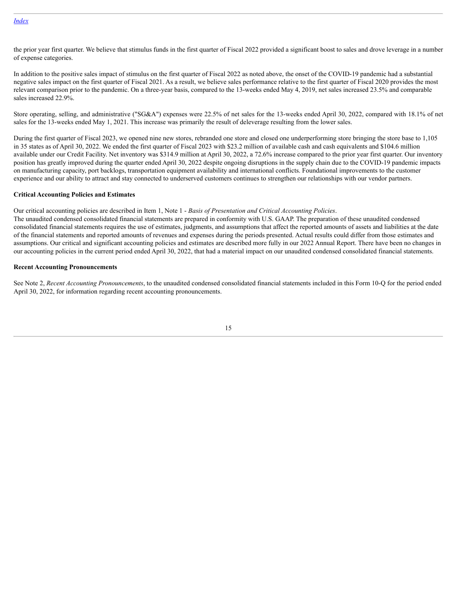the prior year first quarter. We believe that stimulus funds in the first quarter of Fiscal 2022 provided a significant boost to sales and drove leverage in a number of expense categories.

In addition to the positive sales impact of stimulus on the first quarter of Fiscal 2022 as noted above, the onset of the COVID-19 pandemic had a substantial negative sales impact on the first quarter of Fiscal 2021. As a result, we believe sales performance relative to the first quarter of Fiscal 2020 provides the most relevant comparison prior to the pandemic. On a three-year basis, compared to the 13-weeks ended May 4, 2019, net sales increased 23.5% and comparable sales increased 22.9%.

Store operating, selling, and administrative ("SG&A") expenses were 22.5% of net sales for the 13-weeks ended April 30, 2022, compared with 18.1% of net sales for the 13-weeks ended May 1, 2021. This increase was primarily the result of deleverage resulting from the lower sales.

During the first quarter of Fiscal 2023, we opened nine new stores, rebranded one store and closed one underperforming store bringing the store base to 1,105 in 35 states as of April 30, 2022. We ended the first quarter of Fiscal 2023 with \$23.2 million of available cash and cash equivalents and \$104.6 million available under our Credit Facility. Net inventory was \$314.9 million at April 30, 2022, a 72.6% increase compared to the prior year first quarter. Our inventory position has greatly improved during the quarter ended April 30, 2022 despite ongoing disruptions in the supply chain due to the COVID-19 pandemic impacts on manufacturing capacity, port backlogs, transportation equipment availability and international conflicts. Foundational improvements to the customer experience and our ability to attract and stay connected to underserved customers continues to strengthen our relationships with our vendor partners.

## **Critical Accounting Policies and Estimates**

Our critical accounting policies are described in Item 1, Note 1 - *Basis of Presentation and Critical Accounting Policies*.

The unaudited condensed consolidated financial statements are prepared in conformity with U.S. GAAP. The preparation of these unaudited condensed consolidated financial statements requires the use of estimates, judgments, and assumptions that affect the reported amounts of assets and liabilities at the date of the financial statements and reported amounts of revenues and expenses during the periods presented. Actual results could differ from those estimates and assumptions. Our critical and significant accounting policies and estimates are described more fully in our 2022 Annual Report. There have been no changes in our accounting policies in the current period ended April 30, 2022, that had a material impact on our unaudited condensed consolidated financial statements.

## **Recent Accounting Pronouncements**

See Note 2, *Recent Accounting Pronouncements*, to the unaudited condensed consolidated financial statements included in this Form 10-Q for the period ended April 30, 2022, for information regarding recent accounting pronouncements.

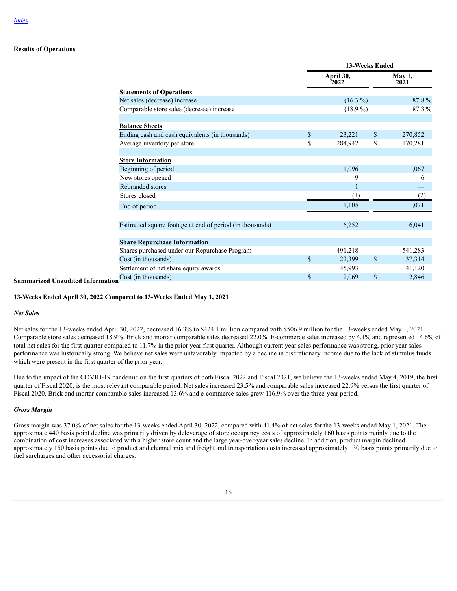# **Results of Operations**

|                                                          | 13-Weeks Ended    |              |             |                |  |  |
|----------------------------------------------------------|-------------------|--------------|-------------|----------------|--|--|
|                                                          | April 30,<br>2022 |              |             | May 1,<br>2021 |  |  |
| <b>Statements of Operations</b>                          |                   |              |             |                |  |  |
| Net sales (decrease) increase                            |                   | $(16.3\%)$   |             | 87.8%          |  |  |
| Comparable store sales (decrease) increase               |                   | $(18.9\%)$   |             | 87.3%          |  |  |
| <b>Balance Sheets</b>                                    |                   |              |             |                |  |  |
| Ending cash and cash equivalents (in thousands)          | \$                | 23,221       | $\$$        | 270,852        |  |  |
| Average inventory per store                              | \$                | 284,942      | \$          | 170,281        |  |  |
| <b>Store Information</b>                                 |                   |              |             |                |  |  |
| Beginning of period                                      |                   | 1,096        |             | 1,067          |  |  |
| New stores opened                                        |                   | 9            |             | 6              |  |  |
| Rebranded stores                                         |                   | $\mathbf{1}$ |             |                |  |  |
| Stores closed                                            |                   | (1)          |             | (2)            |  |  |
| End of period                                            |                   | 1,105        |             | 1,071          |  |  |
| Estimated square footage at end of period (in thousands) |                   | 6,252        |             | 6,041          |  |  |
| <b>Share Repurchase Information</b>                      |                   |              |             |                |  |  |
| Shares purchased under our Repurchase Program            |                   | 491,218      |             | 541,283        |  |  |
| Cost (in thousands)                                      | \$                | 22,399       | $\mathbf S$ | 37,314         |  |  |
| Settlement of net share equity awards                    |                   | 45,993       |             | 41,120         |  |  |
| Cost (in thousands)                                      | \$                | 2,069        | \$          | 2,846          |  |  |

#### **Summarized Unaudited Information**

#### **13-Weeks Ended April 30, 2022 Compared to 13-Weeks Ended May 1, 2021**

#### *Net Sales*

Net sales for the 13-weeks ended April 30, 2022, decreased 16.3% to \$424.1 million compared with \$506.9 million for the 13-weeks ended May 1, 2021. Comparable store sales decreased 18.9%. Brick and mortar comparable sales decreased 22.0%. E-commerce sales increased by 4.1% and represented 14.6% of total net sales for the first quarter compared to 11.7% in the prior year first quarter. Although current year sales performance was strong, prior year sales performance was historically strong. We believe net sales were unfavorably impacted by a decline in discretionary income due to the lack of stimulus funds which were present in the first quarter of the prior year.

Due to the impact of the COVID-19 pandemic on the first quarters of both Fiscal 2022 and Fiscal 2021, we believe the 13-weeks ended May 4, 2019, the first quarter of Fiscal 2020, is the most relevant comparable period. Net sales increased 23.5% and comparable sales increased 22.9% versus the first quarter of Fiscal 2020. Brick and mortar comparable sales increased 13.6% and e-commerce sales grew 116.9% over the three-year period.

## *Gross Margin*

Gross margin was 37.0% of net sales for the 13-weeks ended April 30, 2022, compared with 41.4% of net sales for the 13-weeks ended May 1, 2021. The approximate 440 basis point decline was primarily driven by deleverage of store occupancy costs of approximately 160 basis points mainly due to the combination of cost increases associated with a higher store count and the large year-over-year sales decline. In addition, product margin declined approximately 150 basis points due to product and channel mix and freight and transportation costs increased approximately 130 basis points primarily due to fuel surcharges and other accessorial charges.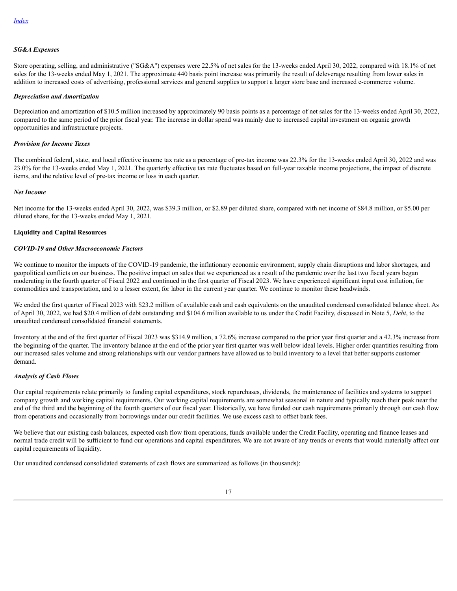#### *SG&A Expenses*

Store operating, selling, and administrative ("SG&A") expenses were 22.5% of net sales for the 13-weeks ended April 30, 2022, compared with 18.1% of net sales for the 13-weeks ended May 1, 2021. The approximate 440 basis point increase was primarily the result of deleverage resulting from lower sales in addition to increased costs of advertising, professional services and general supplies to support a larger store base and increased e-commerce volume.

#### *Depreciation and Amortization*

Depreciation and amortization of \$10.5 million increased by approximately 90 basis points as a percentage of net sales for the 13-weeks ended April 30, 2022, compared to the same period of the prior fiscal year. The increase in dollar spend was mainly due to increased capital investment on organic growth opportunities and infrastructure projects.

#### *Provision for Income Taxes*

The combined federal, state, and local effective income tax rate as a percentage of pre-tax income was 22.3% for the 13-weeks ended April 30, 2022 and was 23.0% for the 13-weeks ended May 1, 2021. The quarterly effective tax rate fluctuates based on full-year taxable income projections, the impact of discrete items, and the relative level of pre-tax income or loss in each quarter.

## *Net Income*

Net income for the 13-weeks ended April 30, 2022, was \$39.3 million, or \$2.89 per diluted share, compared with net income of \$84.8 million, or \$5.00 per diluted share, for the 13-weeks ended May 1, 2021.

#### **Liquidity and Capital Resources**

## *COVID-19 and Other Macroeconomic Factors*

We continue to monitor the impacts of the COVID-19 pandemic, the inflationary economic environment, supply chain disruptions and labor shortages, and geopolitical conflicts on our business. The positive impact on sales that we experienced as a result of the pandemic over the last two fiscal years began moderating in the fourth quarter of Fiscal 2022 and continued in the first quarter of Fiscal 2023. We have experienced significant input cost inflation, for commodities and transportation, and to a lesser extent, for labor in the current year quarter. We continue to monitor these headwinds.

We ended the first quarter of Fiscal 2023 with \$23.2 million of available cash and cash equivalents on the unaudited condensed consolidated balance sheet. As of April 30, 2022, we had \$20.4 million of debt outstanding and \$104.6 million available to us under the Credit Facility, discussed in Note 5, *Debt*, to the unaudited condensed consolidated financial statements.

Inventory at the end of the first quarter of Fiscal 2023 was \$314.9 million, a 72.6% increase compared to the prior year first quarter and a 42.3% increase from the beginning of the quarter. The inventory balance at the end of the prior year first quarter was well below ideal levels. Higher order quantities resulting from our increased sales volume and strong relationships with our vendor partners have allowed us to build inventory to a level that better supports customer demand.

#### *Analysis of Cash Flows*

Our capital requirements relate primarily to funding capital expenditures, stock repurchases, dividends, the maintenance of facilities and systems to support company growth and working capital requirements. Our working capital requirements are somewhat seasonal in nature and typically reach their peak near the end of the third and the beginning of the fourth quarters of our fiscal year. Historically, we have funded our cash requirements primarily through our cash flow from operations and occasionally from borrowings under our credit facilities. We use excess cash to offset bank fees.

We believe that our existing cash balances, expected cash flow from operations, funds available under the Credit Facility, operating and finance leases and normal trade credit will be sufficient to fund our operations and capital expenditures. We are not aware of any trends or events that would materially affect our capital requirements of liquidity.

Our unaudited condensed consolidated statements of cash flows are summarized as follows (in thousands):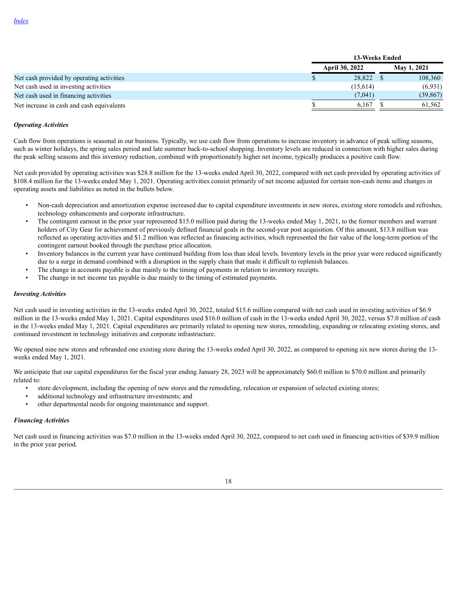|                                           | 13-Weeks Ended |                       |  |             |  |
|-------------------------------------------|----------------|-----------------------|--|-------------|--|
|                                           |                | <b>April 30, 2022</b> |  | May 1, 2021 |  |
| Net cash provided by operating activities |                | 28.822                |  | 108,360     |  |
| Net cash used in investing activities     |                | (15,614)              |  | (6,931)     |  |
| Net cash used in financing activities     |                | (7,041)               |  | (39, 867)   |  |
| Net increase in cash and cash equivalents |                | 6.167                 |  | 61.562      |  |

## *Operating Activities*

Cash flow from operations is seasonal in our business. Typically, we use cash flow from operations to increase inventory in advance of peak selling seasons, such as winter holidays, the spring sales period and late summer back-to-school shopping. Inventory levels are reduced in connection with higher sales during the peak selling seasons and this inventory reduction, combined with proportionately higher net income, typically produces a positive cash flow.

Net cash provided by operating activities was \$28.8 million for the 13-weeks ended April 30, 2022, compared with net cash provided by operating activities of \$108.4 million for the 13-weeks ended May 1, 2021. Operating activities consist primarily of net income adjusted for certain non-cash items and changes in operating assets and liabilities as noted in the bullets below.

- Non-cash depreciation and amortization expense increased due to capital expenditure investments in new stores, existing store remodels and refreshes, technology enhancements and corporate infrastructure.
- The contingent earnout in the prior year represented \$15.0 million paid during the 13-weeks ended May 1, 2021, to the former members and warrant holders of City Gear for achievement of previously defined financial goals in the second-year post acquisition. Of this amount, \$13.8 million was reflected as operating activities and \$1.2 million was reflected as financing activities, which represented the fair value of the long-term portion of the contingent earnout booked through the purchase price allocation.
- Inventory balances in the current year have continued building from less than ideal levels. Inventory levels in the prior year were reduced significantly due to a surge in demand combined with a disruption in the supply chain that made it difficult to replenish balances.
- The change in accounts payable is due mainly to the timing of payments in relation to inventory receipts.
- The change in net income tax payable is due mainly to the timing of estimated payments.

#### *Investing Activities*

Net cash used in investing activities in the 13-weeks ended April 30, 2022, totaled \$15.6 million compared with net cash used in investing activities of \$6.9 million in the 13-weeks ended May 1, 2021. Capital expenditures used \$16.0 million of cash in the 13-weeks ended April 30, 2022, versus \$7.0 million of cash in the 13-weeks ended May 1, 2021. Capital expenditures are primarily related to opening new stores, remodeling, expanding or relocating existing stores, and continued investment in technology initiatives and corporate infrastructure.

We opened nine new stores and rebranded one existing store during the 13-weeks ended April 30, 2022, as compared to opening six new stores during the 13weeks ended May 1, 2021.

We anticipate that our capital expenditures for the fiscal year ending January 28, 2023 will be approximately \$60.0 million to \$70.0 million and primarily related to:

- store development, including the opening of new stores and the remodeling, relocation or expansion of selected existing stores;
- additional technology and infrastructure investments; and
- other departmental needs for ongoing maintenance and support.

#### *Financing Activities*

Net cash used in financing activities was \$7.0 million in the 13-weeks ended April 30, 2022, compared to net cash used in financing activities of \$39.9 million in the prior year period.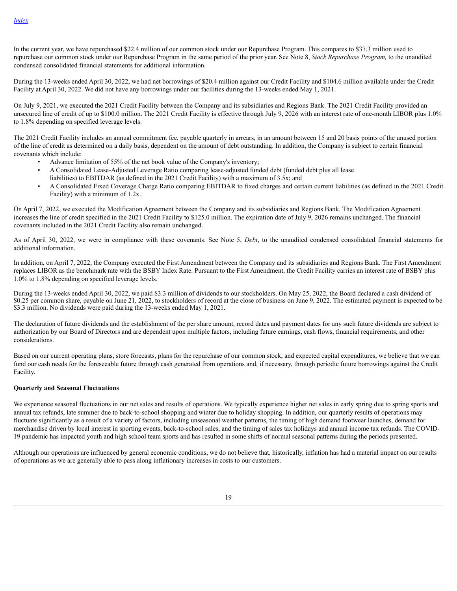In the current year, we have repurchased \$22.4 million of our common stock under our Repurchase Program. This compares to \$37.3 million used to repurchase our common stock under our Repurchase Program in the same period of the prior year. See Note 8, *Stock Repurchase Program,* to the unaudited condensed consolidated financial statements for additional information.

During the 13-weeks ended April 30, 2022, we had net borrowings of \$20.4 million against our Credit Facility and \$104.6 million available under the Credit Facility at April 30, 2022. We did not have any borrowings under our facilities during the 13-weeks ended May 1, 2021.

On July 9, 2021, we executed the 2021 Credit Facility between the Company and its subsidiaries and Regions Bank. The 2021 Credit Facility provided an unsecured line of credit of up to \$100.0 million. The 2021 Credit Facility is effective through July 9, 2026 with an interest rate of one-month LIBOR plus 1.0% to 1.8% depending on specified leverage levels.

The 2021 Credit Facility includes an annual commitment fee, payable quarterly in arrears, in an amount between 15 and 20 basis points of the unused portion of the line of credit as determined on a daily basis, dependent on the amount of debt outstanding. In addition, the Company is subject to certain financial covenants which include:

- Advance limitation of 55% of the net book value of the Company's inventory:
- A Consolidated Lease-Adjusted Leverage Ratio comparing lease-adjusted funded debt (funded debt plus all lease liabilities) to EBITDAR (as defined in the 2021 Credit Facility) with a maximum of 3.5x; and
- A Consolidated Fixed Coverage Charge Ratio comparing EBITDAR to fixed charges and certain current liabilities (as defined in the 2021 Credit Facility) with a minimum of 1.2x.

On April 7, 2022, we executed the Modification Agreement between the Company and its subsidiaries and Regions Bank. The Modification Agreement increases the line of credit specified in the 2021 Credit Facility to \$125.0 million. The expiration date of July 9, 2026 remains unchanged. The financial covenants included in the 2021 Credit Facility also remain unchanged.

As of April 30, 2022, we were in compliance with these covenants. See Note 5, *Debt*, to the unaudited condensed consolidated financial statements for additional information.

In addition, on April 7, 2022, the Company executed the First Amendment between the Company and its subsidiaries and Regions Bank. The First Amendment replaces LIBOR as the benchmark rate with the BSBY Index Rate. Pursuant to the First Amendment, the Credit Facility carries an interest rate of BSBY plus 1.0% to 1.8% depending on specified leverage levels.

During the 13-weeks ended April 30, 2022, we paid \$3.3 million of dividends to our stockholders. On May 25, 2022, the Board declared a cash dividend of \$0.25 per common share, payable on June 21, 2022, to stockholders of record at the close of business on June 9, 2022. The estimated payment is expected to be \$3.3 million. No dividends were paid during the 13-weeks ended May 1, 2021.

The declaration of future dividends and the establishment of the per share amount, record dates and payment dates for any such future dividends are subject to authorization by our Board of Directors and are dependent upon multiple factors, including future earnings, cash flows, financial requirements, and other considerations.

Based on our current operating plans, store forecasts, plans for the repurchase of our common stock, and expected capital expenditures, we believe that we can fund our cash needs for the foreseeable future through cash generated from operations and, if necessary, through periodic future borrowings against the Credit Facility.

# **Quarterly and Seasonal Fluctuations**

We experience seasonal fluctuations in our net sales and results of operations. We typically experience higher net sales in early spring due to spring sports and annual tax refunds, late summer due to back-to-school shopping and winter due to holiday shopping. In addition, our quarterly results of operations may fluctuate significantly as a result of a variety of factors, including unseasonal weather patterns, the timing of high demand footwear launches, demand for merchandise driven by local interest in sporting events, back-to-school sales, and the timing of sales tax holidays and annual income tax refunds. The COVID-19 pandemic has impacted youth and high school team sports and has resulted in some shifts of normal seasonal patterns during the periods presented.

<span id="page-20-0"></span>Although our operations are influenced by general economic conditions, we do not believe that, historically, inflation has had a material impact on our results of operations as we are generally able to pass along inflationary increases in costs to our customers.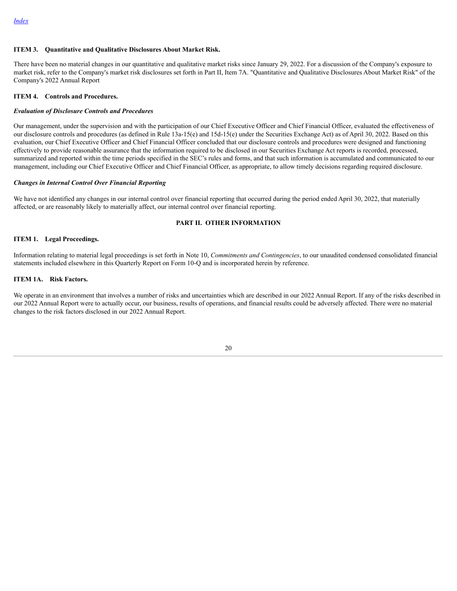## **ITEM 3. Quantitative and Qualitative Disclosures About Market Risk.**

There have been no material changes in our quantitative and qualitative market risks since January 29, 2022. For a discussion of the Company's exposure to market risk, refer to the Company's market risk disclosures set forth in Part II, Item 7A. "Quantitative and Qualitative Disclosures About Market Risk" of the Company's 2022 Annual Report

#### <span id="page-21-0"></span>**ITEM 4. Controls and Procedures.**

#### *Evaluation of Disclosure Controls and Procedures*

Our management, under the supervision and with the participation of our Chief Executive Officer and Chief Financial Officer, evaluated the effectiveness of our disclosure controls and procedures (as defined in Rule 13a-15(e) and 15d-15(e) under the Securities Exchange Act) as of April 30, 2022. Based on this evaluation, our Chief Executive Officer and Chief Financial Officer concluded that our disclosure controls and procedures were designed and functioning effectively to provide reasonable assurance that the information required to be disclosed in our Securities Exchange Act reports is recorded, processed, summarized and reported within the time periods specified in the SEC's rules and forms, and that such information is accumulated and communicated to our management, including our Chief Executive Officer and Chief Financial Officer, as appropriate, to allow timely decisions regarding required disclosure.

#### *Changes in Internal Control Over Financial Reporting*

We have not identified any changes in our internal control over financial reporting that occurred during the period ended April 30, 2022, that materially affected, or are reasonably likely to materially affect, our internal control over financial reporting.

## **PART II. OTHER INFORMATION**

## <span id="page-21-2"></span><span id="page-21-1"></span>**ITEM 1. Legal Proceedings.**

Information relating to material legal proceedings is set forth in Note 10, *Commitments and Contingencies*, to our unaudited condensed consolidated financial statements included elsewhere in this Quarterly Report on Form 10-Q and is incorporated herein by reference.

## <span id="page-21-3"></span>**ITEM 1A. Risk Factors.**

<span id="page-21-4"></span>We operate in an environment that involves a number of risks and uncertainties which are described in our 2022 Annual Report. If any of the risks described in our 2022 Annual Report were to actually occur, our business, results of operations, and financial results could be adversely affected. There were no material changes to the risk factors disclosed in our 2022 Annual Report.

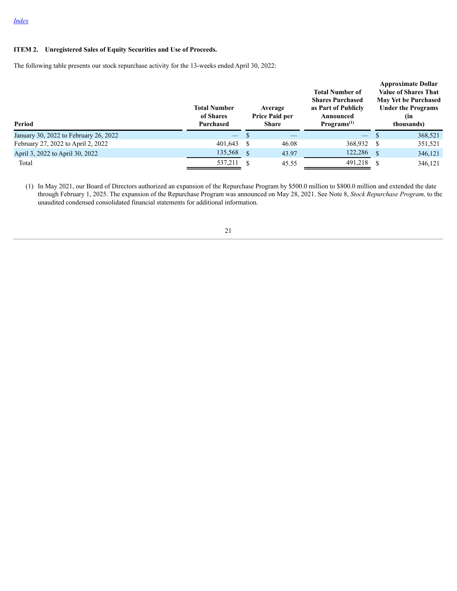# **ITEM 2. Unregistered Sales of Equity Securities and Use of Proceeds.**

The following table presents our stock repurchase activity for the 13-weeks ended April 30, 2022:

| Period                                | <b>Total Number</b><br>of Shares<br><b>Purchased</b> |  | Average<br><b>Price Paid per</b><br>Share | <b>Total Number of</b><br><b>Shares Purchased</b><br>as Part of Publicly<br>Announced<br>$Programs^{(1)}$ |    | <b>Approximate Dollar</b><br><b>Value of Shares That</b><br><b>May Yet be Purchased</b><br><b>Under the Programs</b><br>(in<br>thousands) |  |  |
|---------------------------------------|------------------------------------------------------|--|-------------------------------------------|-----------------------------------------------------------------------------------------------------------|----|-------------------------------------------------------------------------------------------------------------------------------------------|--|--|
| January 30, 2022 to February 26, 2022 |                                                      |  |                                           |                                                                                                           |    | 368,521                                                                                                                                   |  |  |
| February 27, 2022 to April 2, 2022    | 401,643                                              |  | 46.08                                     | 368,932                                                                                                   | -S | 351,521                                                                                                                                   |  |  |
| April 3, 2022 to April 30, 2022       | 135,568                                              |  | 43.97                                     | 122,286                                                                                                   |    | 346,121                                                                                                                                   |  |  |
| Total                                 | 537,211                                              |  | 45.55                                     | 491,218                                                                                                   |    | 346,121                                                                                                                                   |  |  |

<span id="page-22-0"></span>(1) In May 2021, our Board of Directors authorized an expansion of the Repurchase Program by \$500.0 million to \$800.0 million and extended the date through February 1, 2025. The expansion of the Repurchase Program was announced on May 28, 2021. See Note 8, *Stock Repurchase Program,* to the unaudited condensed consolidated financial statements for additional information.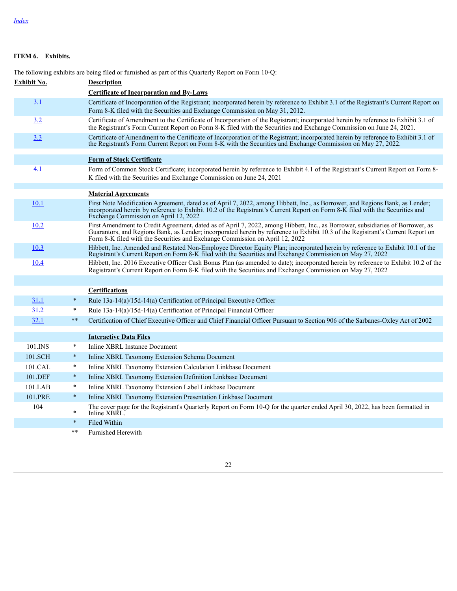# **ITEM 6. Exhibits.**

The following exhibits are being filed or furnished as part of this Quarterly Report on Form 10-Q: **Exhibit No. Description Certificate of Incorporation and By-Laws** [3.1](https://content.edgar-online.com/ExternalLink/EDGAR/0001017480-12-000027.html?hash=04445b9cdaa8a1a35bd9ed2862886a731f80bbe0da633adeb269ab1da3fe292c&dest=ex3-1_htm) Certificate of Incorporation of the Registrant; incorporated herein by reference to Exhibit 3.1 of the Registrant's Current Report on Form 8-K filed with the Securities and Exchange Commission on May 31, 2012. [3.2](https://content.edgar-online.com/ExternalLink/EDGAR/0001017480-21-000127.html?hash=7ac1cab2c9f9a6c34437e02b80b7a79f90932f294fc0023c7faf27e0e57fa728&dest=ex31_certificateofamendment_htm) Certificate of Amendment to the Certificate of Incorporation of the Registrant; incorporated herein by reference to Exhibit 3.1 of the Registrant's Form Current Report on Form 8-K filed with the Securities and Exchange Commission on June 24, 2021. [3.3](https://content.edgar-online.com/ExternalLink/EDGAR/0001017480-22-000096.html?hash=2e1884d563ef63c12dfbfa29558d45be739b618c7ef094f85ac5d906ac497a99&dest=ex31_certofamendment_htm) Certificate of Amendment to the Certificate of Incorporation of the Registrant; incorporated herein by reference to Exhibit 3.1 of the Registrant's Form Current Report on Form 8-K with the Securities and Exchange Commission on May 27, 2022. **Form of Stock Certificate** [4.1](https://content.edgar-online.com/ExternalLink/EDGAR/0001017480-21-000127.html?hash=7ac1cab2c9f9a6c34437e02b80b7a79f90932f294fc0023c7faf27e0e57fa728&dest=ex41_stockcertificate_htm) Form of Common Stock Certificate; incorporated herein by reference to Exhibit 4.1 of the Registrant's Current Report on Form 8-K filed with the Securities and Exchange Commission on June 24, 2021 **Material Agreements** [10.1](https://content.edgar-online.com/ExternalLink/EDGAR/0001017480-22-000084.html?hash=d6e17c6312922d31b9aaba28787e643e11bdb90e04ef932637eac6c7fe4fcfee&dest=notemodificationagreement-_htm) First Note Modification Agreement, dated as of April 7, 2022, among Hibbett, Inc., as Borrower, and Regions Bank, as Lender; incorporated herein by reference to Exhibit 10.2 of the Registrant's Current Report on Form 8-K filed with the Securities and Exchange Commission on April 12, 2022 [10.2](https://content.edgar-online.com/ExternalLink/EDGAR/0001017480-22-000084.html?hash=d6e17c6312922d31b9aaba28787e643e11bdb90e04ef932637eac6c7fe4fcfee&dest=firstamendment-ex103_htm) First Amendment to Credit Agreement, dated as of April 7, 2022, among Hibbett, Inc., as Borrower, subsidiaries of Borrower, as Guarantors, and Regions Bank, as Lender; incorporated herein by reference to Exhibit 10.3 of the Registrant's Current Report on Form 8-K filed with the Securities and Exchange Commission on April 12, 2022 [10.3](https://content.edgar-online.com/ExternalLink/EDGAR/0001017480-22-000096.html?hash=2e1884d563ef63c12dfbfa29558d45be739b618c7ef094f85ac5d906ac497a99&dest=ex101_restatednon-employee_htm) Hibbett, Inc. Amended and Restated [Non-Employee](file:///D:/Services/PDF/Working/0001017480-22-000105.html#ex101_restatednon-employee_htm) Director Equity Plan; incorporated herein by reference to Exhibit 10.1 of the Registrant's Current Report on Form 8-K filed with the Securities and Exchange Commission on May 27, 2022 [10.4](https://content.edgar-online.com/ExternalLink/EDGAR/0001017480-22-000096.html?hash=2e1884d563ef63c12dfbfa29558d45be739b618c7ef094f85ac5d906ac497a99&dest=ex102_2016executiveofficer_htm) Hibbett, Inc. 2016 [Executive](file:///D:/Services/PDF/Working/0001017480-22-000105.html#ex102_2016executiveofficer_htm) Officer Cash Bonus Plan (as amended to date); incorporated herein by reference to Exhibit 10.2 of the Registrant's Current Report on Form 8-K filed with the Securities and Exchange Commission on May 27, 2022 **Certifications** [31.1](#page-25-0) \* Rule 13a-14(a)/15d-14(a) Certification of Principal Executive Officer [31.2](#page-26-0) \* Rule 13a-14(a)/15d-14(a) Certification of Principal Financial Officer [32.1](#page-27-0) **\*\*** Certification of Chief Executive Officer and Chief Financial Officer Pursuant to Section 906 of the Sarbanes-Oxley Act of 2002 **Interactive Data Files** 101.INS \* Inline XBRL Instance Document 101.SCH \* Inline XBRL Taxonomy Extension Schema Document 101.CAL \* Inline XBRL Taxonomy Extension Calculation Linkbase Document 101.DEF \* Inline XBRL Taxonomy Extension Definition Linkbase Document 101.LAB \* Inline XBRL Taxonomy Extension Label Linkbase Document 101.PRE \* Inline XBRL Taxonomy Extension Presentation Linkbase Document 104 \* The cover page for the Registrant's Quarterly Report on Form 10-Q for the quarter ended April 30, 2022, has been formatted in Inline XBRL. \* Filed Within \*\* Furnished Herewith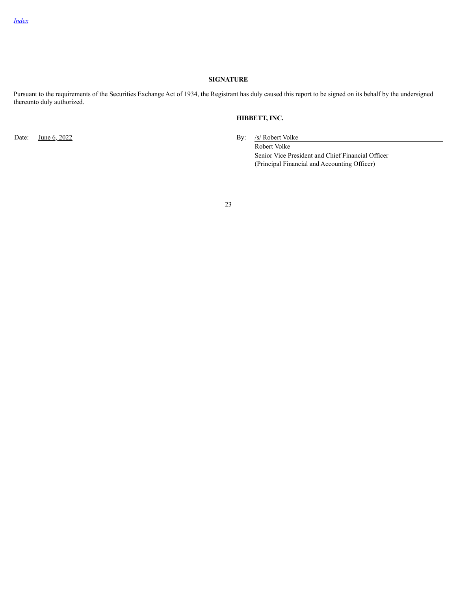# **SIGNATURE**

<span id="page-24-0"></span>Pursuant to the requirements of the Securities Exchange Act of 1934, the Registrant has duly caused this report to be signed on its behalf by the undersigned thereunto duly authorized.

# **HIBBETT, INC.**

Date: June 6, 2022 By: /s/ Robert Volke

Robert Volke Senior Vice President and Chief Financial Officer (Principal Financial and Accounting Officer)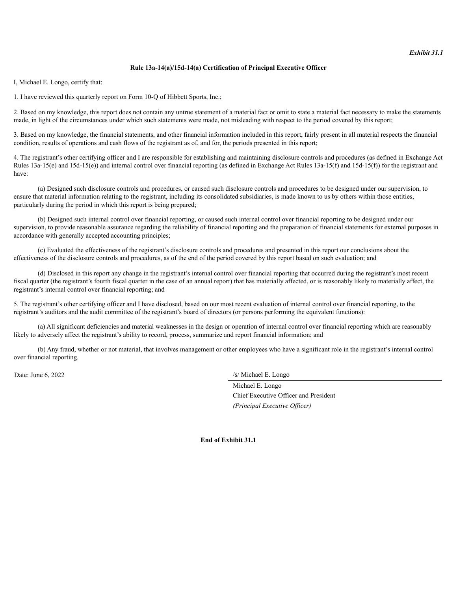## **Rule 13a-14(a)/15d-14(a) Certification of Principal Executive Officer**

<span id="page-25-0"></span>I, Michael E. Longo, certify that:

1. I have reviewed this quarterly report on Form 10-Q of Hibbett Sports, Inc.;

2. Based on my knowledge, this report does not contain any untrue statement of a material fact or omit to state a material fact necessary to make the statements made, in light of the circumstances under which such statements were made, not misleading with respect to the period covered by this report;

3. Based on my knowledge, the financial statements, and other financial information included in this report, fairly present in all material respects the financial condition, results of operations and cash flows of the registrant as of, and for, the periods presented in this report;

4. The registrant's other certifying officer and I are responsible for establishing and maintaining disclosure controls and procedures (as defined in Exchange Act Rules 13a-15(e) and 15d-15(e)) and internal control over financial reporting (as defined in Exchange Act Rules 13a-15(f) and 15d-15(f)) for the registrant and have:

(a) Designed such disclosure controls and procedures, or caused such disclosure controls and procedures to be designed under our supervision, to ensure that material information relating to the registrant, including its consolidated subsidiaries, is made known to us by others within those entities, particularly during the period in which this report is being prepared;

(b) Designed such internal control over financial reporting, or caused such internal control over financial reporting to be designed under our supervision, to provide reasonable assurance regarding the reliability of financial reporting and the preparation of financial statements for external purposes in accordance with generally accepted accounting principles;

(c) Evaluated the effectiveness of the registrant's disclosure controls and procedures and presented in this report our conclusions about the effectiveness of the disclosure controls and procedures, as of the end of the period covered by this report based on such evaluation; and

(d) Disclosed in this report any change in the registrant's internal control over financial reporting that occurred during the registrant's most recent fiscal quarter (the registrant's fourth fiscal quarter in the case of an annual report) that has materially affected, or is reasonably likely to materially affect, the registrant's internal control over financial reporting; and

5. The registrant's other certifying officer and I have disclosed, based on our most recent evaluation of internal control over financial reporting, to the registrant's auditors and the audit committee of the registrant's board of directors (or persons performing the equivalent functions):

(a) All significant deficiencies and material weaknesses in the design or operation of internal control over financial reporting which are reasonably likely to adversely affect the registrant's ability to record, process, summarize and report financial information; and

(b) Any fraud, whether or not material, that involves management or other employees who have a significant role in the registrant's internal control over financial reporting.

Date: June 6, 2022 /s/ Michael E. Longo

Michael E. Longo Chief Executive Officer and President *(Principal Executive Of icer)*

**End of Exhibit 31.1**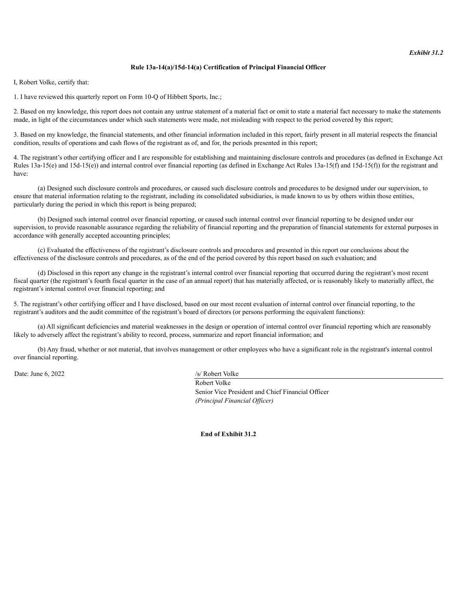## **Rule 13a-14(a)/15d-14(a) Certification of Principal Financial Officer**

<span id="page-26-0"></span>I, Robert Volke, certify that:

1. I have reviewed this quarterly report on Form 10-Q of Hibbett Sports, Inc.;

2. Based on my knowledge, this report does not contain any untrue statement of a material fact or omit to state a material fact necessary to make the statements made, in light of the circumstances under which such statements were made, not misleading with respect to the period covered by this report;

3. Based on my knowledge, the financial statements, and other financial information included in this report, fairly present in all material respects the financial condition, results of operations and cash flows of the registrant as of, and for, the periods presented in this report;

4. The registrant's other certifying officer and I are responsible for establishing and maintaining disclosure controls and procedures (as defined in Exchange Act Rules 13a-15(e) and 15d-15(e)) and internal control over financial reporting (as defined in Exchange Act Rules 13a-15(f) and 15d-15(f)) for the registrant and have:

(a) Designed such disclosure controls and procedures, or caused such disclosure controls and procedures to be designed under our supervision, to ensure that material information relating to the registrant, including its consolidated subsidiaries, is made known to us by others within those entities, particularly during the period in which this report is being prepared;

(b) Designed such internal control over financial reporting, or caused such internal control over financial reporting to be designed under our supervision, to provide reasonable assurance regarding the reliability of financial reporting and the preparation of financial statements for external purposes in accordance with generally accepted accounting principles;

(c) Evaluated the effectiveness of the registrant's disclosure controls and procedures and presented in this report our conclusions about the effectiveness of the disclosure controls and procedures, as of the end of the period covered by this report based on such evaluation; and

(d) Disclosed in this report any change in the registrant's internal control over financial reporting that occurred during the registrant's most recent fiscal quarter (the registrant's fourth fiscal quarter in the case of an annual report) that has materially affected, or is reasonably likely to materially affect, the registrant's internal control over financial reporting; and

5. The registrant's other certifying officer and I have disclosed, based on our most recent evaluation of internal control over financial reporting, to the registrant's auditors and the audit committee of the registrant's board of directors (or persons performing the equivalent functions):

(a) All significant deficiencies and material weaknesses in the design or operation of internal control over financial reporting which are reasonably likely to adversely affect the registrant's ability to record, process, summarize and report financial information; and

(b) Any fraud, whether or not material, that involves management or other employees who have a significant role in the registrant's internal control over financial reporting.

Date: June 6, 2022 /s/ Robert Volke

Robert Volke Senior Vice President and Chief Financial Officer *(Principal Financial Of icer)*

**End of Exhibit 31.2**